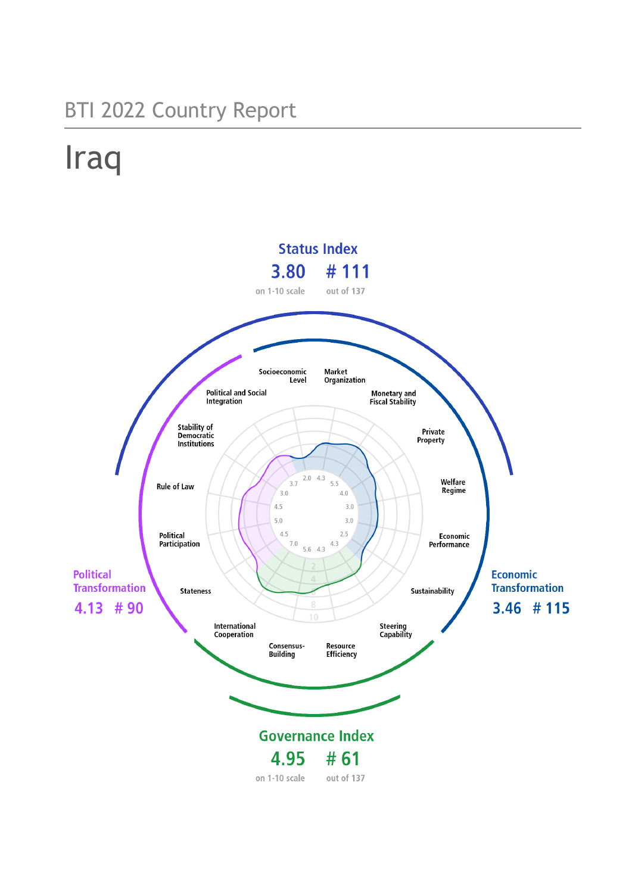## BTI 2022 Country Report

# Iraq

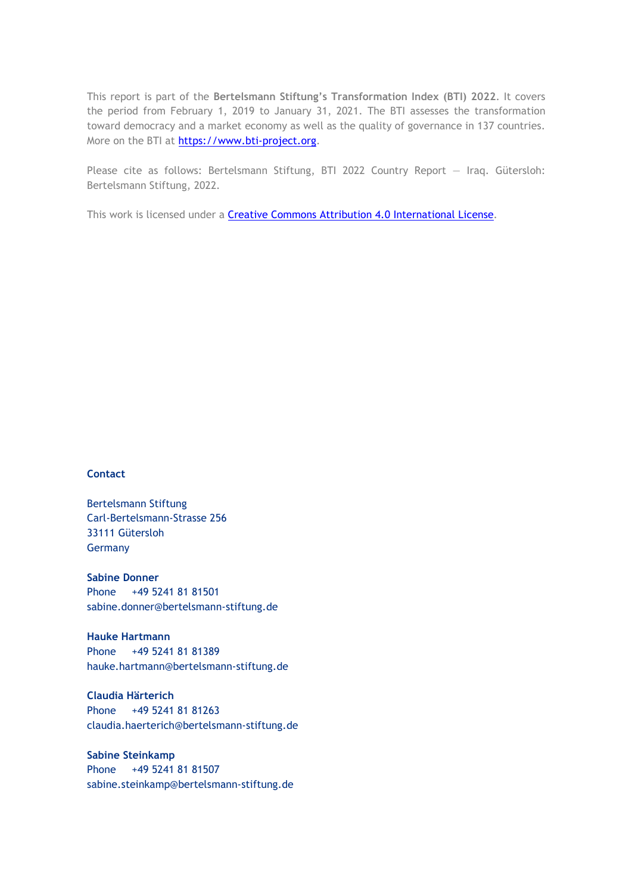This report is part of the **Bertelsmann Stiftung's Transformation Index (BTI) 2022**. It covers the period from February 1, 2019 to January 31, 2021. The BTI assesses the transformation toward democracy and a market economy as well as the quality of governance in 137 countries. More on the BTI at [https://www.bti-project.org.](https://www.bti-project.org/)

Please cite as follows: Bertelsmann Stiftung, BTI 2022 Country Report — Iraq. Gütersloh: Bertelsmann Stiftung, 2022.

This work is licensed under a **Creative Commons Attribution 4.0 International License**.

#### **Contact**

Bertelsmann Stiftung Carl-Bertelsmann-Strasse 256 33111 Gütersloh Germany

**Sabine Donner** Phone +49 5241 81 81501 sabine.donner@bertelsmann-stiftung.de

**Hauke Hartmann** Phone +49 5241 81 81389 hauke.hartmann@bertelsmann-stiftung.de

**Claudia Härterich** Phone +49 5241 81 81263 claudia.haerterich@bertelsmann-stiftung.de

#### **Sabine Steinkamp** Phone +49 5241 81 81507 sabine.steinkamp@bertelsmann-stiftung.de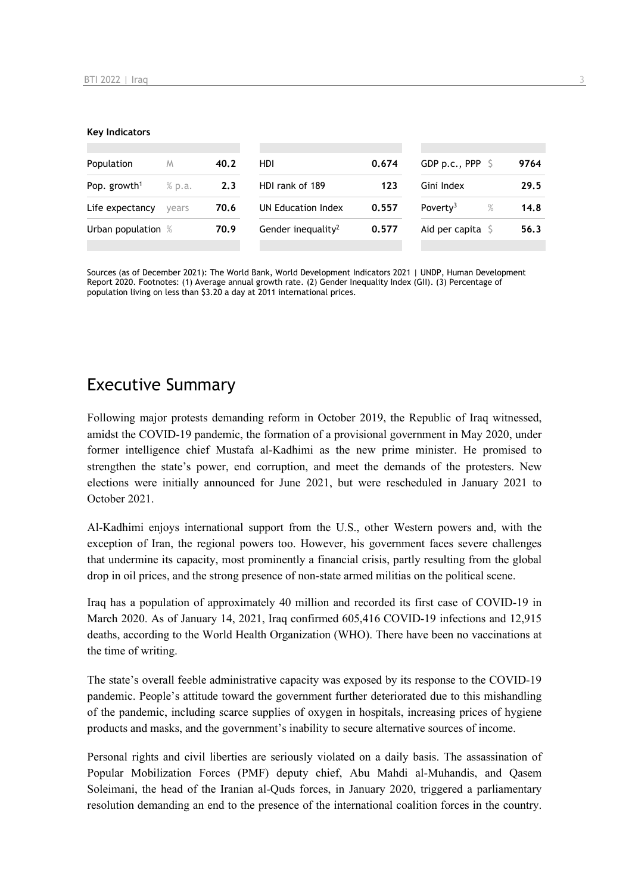#### **Key Indicators**

| Population               | M      | 40.2 | HDI                            | 0.674 | GDP p.c., PPP $\ S$          | 9764 |
|--------------------------|--------|------|--------------------------------|-------|------------------------------|------|
| Pop. growth <sup>1</sup> | % p.a. | 2.3  | HDI rank of 189                | 123   | Gini Index                   | 29.5 |
| Life expectancy          | vears  | 70.6 | UN Education Index             | 0.557 | Poverty <sup>3</sup><br>$\%$ | 14.8 |
| Urban population %       |        | 70.9 | Gender inequality <sup>2</sup> | 0.577 | Aid per capita $S$           | 56.3 |
|                          |        |      |                                |       |                              |      |

Sources (as of December 2021): The World Bank, World Development Indicators 2021 | UNDP, Human Development Report 2020. Footnotes: (1) Average annual growth rate. (2) Gender Inequality Index (GII). (3) Percentage of population living on less than \$3.20 a day at 2011 international prices.

## Executive Summary

Following major protests demanding reform in October 2019, the Republic of Iraq witnessed, amidst the COVID-19 pandemic, the formation of a provisional government in May 2020, under former intelligence chief Mustafa al-Kadhimi as the new prime minister. He promised to strengthen the state's power, end corruption, and meet the demands of the protesters. New elections were initially announced for June 2021, but were rescheduled in January 2021 to October 2021.

Al-Kadhimi enjoys international support from the U.S., other Western powers and, with the exception of Iran, the regional powers too. However, his government faces severe challenges that undermine its capacity, most prominently a financial crisis, partly resulting from the global drop in oil prices, and the strong presence of non-state armed militias on the political scene.

Iraq has a population of approximately 40 million and recorded its first case of COVID-19 in March 2020. As of January 14, 2021, Iraq confirmed 605,416 COVID-19 infections and 12,915 deaths, according to the World Health Organization (WHO). There have been no vaccinations at the time of writing.

The state's overall feeble administrative capacity was exposed by its response to the COVID-19 pandemic. People's attitude toward the government further deteriorated due to this mishandling of the pandemic, including scarce supplies of oxygen in hospitals, increasing prices of hygiene products and masks, and the government's inability to secure alternative sources of income.

Personal rights and civil liberties are seriously violated on a daily basis. The assassination of Popular Mobilization Forces (PMF) deputy chief, Abu Mahdi al-Muhandis, and Qasem Soleimani, the head of the Iranian al-Quds forces, in January 2020, triggered a parliamentary resolution demanding an end to the presence of the international coalition forces in the country.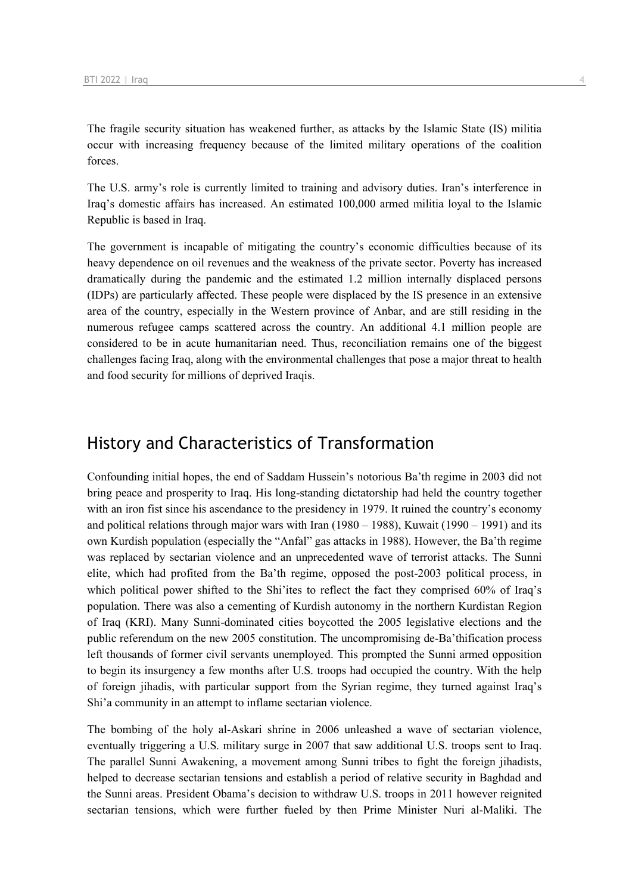The fragile security situation has weakened further, as attacks by the Islamic State (IS) militia occur with increasing frequency because of the limited military operations of the coalition forces.

The U.S. army's role is currently limited to training and advisory duties. Iran's interference in Iraq's domestic affairs has increased. An estimated 100,000 armed militia loyal to the Islamic Republic is based in Iraq.

The government is incapable of mitigating the country's economic difficulties because of its heavy dependence on oil revenues and the weakness of the private sector. Poverty has increased dramatically during the pandemic and the estimated 1.2 million internally displaced persons (IDPs) are particularly affected. These people were displaced by the IS presence in an extensive area of the country, especially in the Western province of Anbar, and are still residing in the numerous refugee camps scattered across the country. An additional 4.1 million people are considered to be in acute humanitarian need. Thus, reconciliation remains one of the biggest challenges facing Iraq, along with the environmental challenges that pose a major threat to health and food security for millions of deprived Iraqis.

## History and Characteristics of Transformation

Confounding initial hopes, the end of Saddam Hussein's notorious Ba'th regime in 2003 did not bring peace and prosperity to Iraq. His long-standing dictatorship had held the country together with an iron fist since his ascendance to the presidency in 1979. It ruined the country's economy and political relations through major wars with Iran (1980 – 1988), Kuwait (1990 – 1991) and its own Kurdish population (especially the "Anfal" gas attacks in 1988). However, the Ba'th regime was replaced by sectarian violence and an unprecedented wave of terrorist attacks. The Sunni elite, which had profited from the Ba'th regime, opposed the post-2003 political process, in which political power shifted to the Shi'ites to reflect the fact they comprised 60% of Iraq's population. There was also a cementing of Kurdish autonomy in the northern Kurdistan Region of Iraq (KRI). Many Sunni-dominated cities boycotted the 2005 legislative elections and the public referendum on the new 2005 constitution. The uncompromising de-Ba'thification process left thousands of former civil servants unemployed. This prompted the Sunni armed opposition to begin its insurgency a few months after U.S. troops had occupied the country. With the help of foreign jihadis, with particular support from the Syrian regime, they turned against Iraq's Shi'a community in an attempt to inflame sectarian violence.

The bombing of the holy al-Askari shrine in 2006 unleashed a wave of sectarian violence, eventually triggering a U.S. military surge in 2007 that saw additional U.S. troops sent to Iraq. The parallel Sunni Awakening, a movement among Sunni tribes to fight the foreign jihadists, helped to decrease sectarian tensions and establish a period of relative security in Baghdad and the Sunni areas. President Obama's decision to withdraw U.S. troops in 2011 however reignited sectarian tensions, which were further fueled by then Prime Minister Nuri al-Maliki. The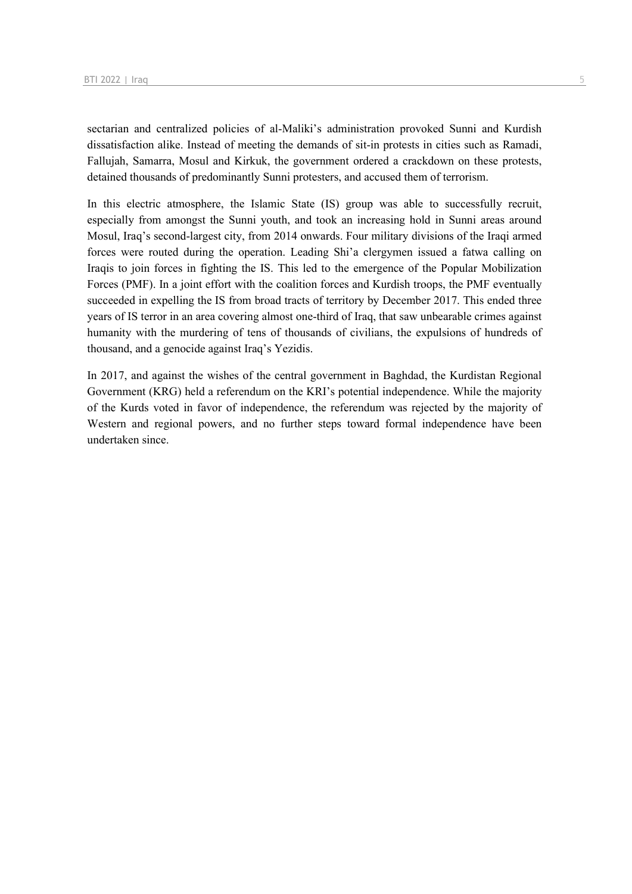sectarian and centralized policies of al-Maliki's administration provoked Sunni and Kurdish dissatisfaction alike. Instead of meeting the demands of sit-in protests in cities such as Ramadi, Fallujah, Samarra, Mosul and Kirkuk, the government ordered a crackdown on these protests, detained thousands of predominantly Sunni protesters, and accused them of terrorism.

In this electric atmosphere, the Islamic State (IS) group was able to successfully recruit, especially from amongst the Sunni youth, and took an increasing hold in Sunni areas around Mosul, Iraq's second-largest city, from 2014 onwards. Four military divisions of the Iraqi armed forces were routed during the operation. Leading Shi'a clergymen issued a fatwa calling on Iraqis to join forces in fighting the IS. This led to the emergence of the Popular Mobilization Forces (PMF). In a joint effort with the coalition forces and Kurdish troops, the PMF eventually succeeded in expelling the IS from broad tracts of territory by December 2017. This ended three years of IS terror in an area covering almost one-third of Iraq, that saw unbearable crimes against humanity with the murdering of tens of thousands of civilians, the expulsions of hundreds of thousand, and a genocide against Iraq's Yezidis.

In 2017, and against the wishes of the central government in Baghdad, the Kurdistan Regional Government (KRG) held a referendum on the KRI's potential independence. While the majority of the Kurds voted in favor of independence, the referendum was rejected by the majority of Western and regional powers, and no further steps toward formal independence have been undertaken since.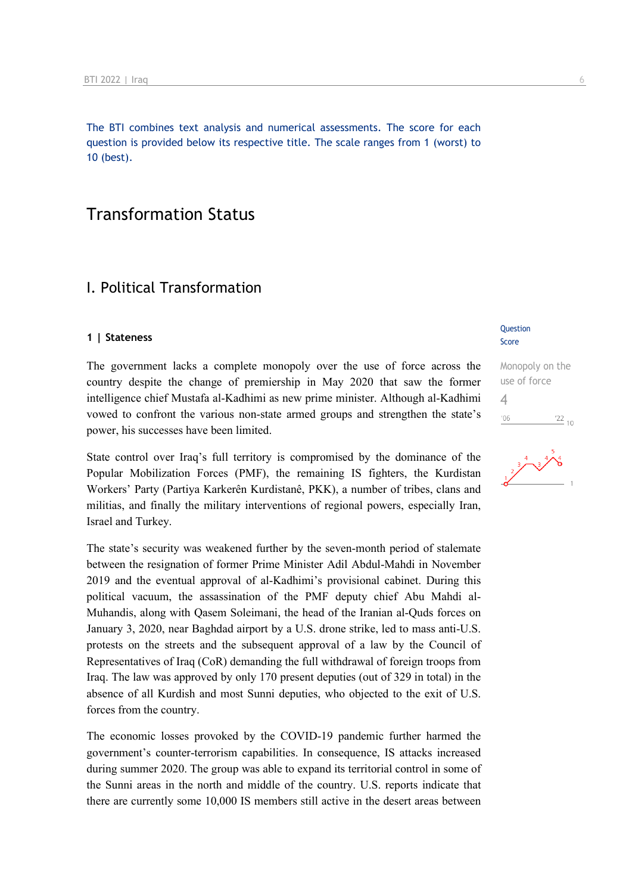The BTI combines text analysis and numerical assessments. The score for each question is provided below its respective title. The scale ranges from 1 (worst) to 10 (best).

## Transformation Status

## I. Political Transformation

#### **1 | Stateness**

The government lacks a complete monopoly over the use of force across the country despite the change of premiership in May 2020 that saw the former intelligence chief Mustafa al-Kadhimi as new prime minister. Although al-Kadhimi vowed to confront the various non-state armed groups and strengthen the state's power, his successes have been limited.

State control over Iraq's full territory is compromised by the dominance of the Popular Mobilization Forces (PMF), the remaining IS fighters, the Kurdistan Workers' Party (Partiya Karkerên Kurdistanê, PKK), a number of tribes, clans and militias, and finally the military interventions of regional powers, especially Iran, Israel and Turkey.

The state's security was weakened further by the seven-month period of stalemate between the resignation of former Prime Minister Adil Abdul-Mahdi in November 2019 and the eventual approval of al-Kadhimi's provisional cabinet. During this political vacuum, the assassination of the PMF deputy chief Abu Mahdi al-Muhandis, along with Qasem Soleimani, the head of the Iranian al-Quds forces on January 3, 2020, near Baghdad airport by a U.S. drone strike, led to mass anti-U.S. protests on the streets and the subsequent approval of a law by the Council of Representatives of Iraq (CoR) demanding the full withdrawal of foreign troops from Iraq. The law was approved by only 170 present deputies (out of 329 in total) in the absence of all Kurdish and most Sunni deputies, who objected to the exit of U.S. forces from the country.

The economic losses provoked by the COVID-19 pandemic further harmed the government's counter-terrorism capabilities. In consequence, IS attacks increased during summer 2020. The group was able to expand its territorial control in some of the Sunni areas in the north and middle of the country. U.S. reports indicate that there are currently some 10,000 IS members still active in the desert areas between

#### **Question** Score

Monopoly on the use of force 4 $\frac{22}{10}$  $106$ 

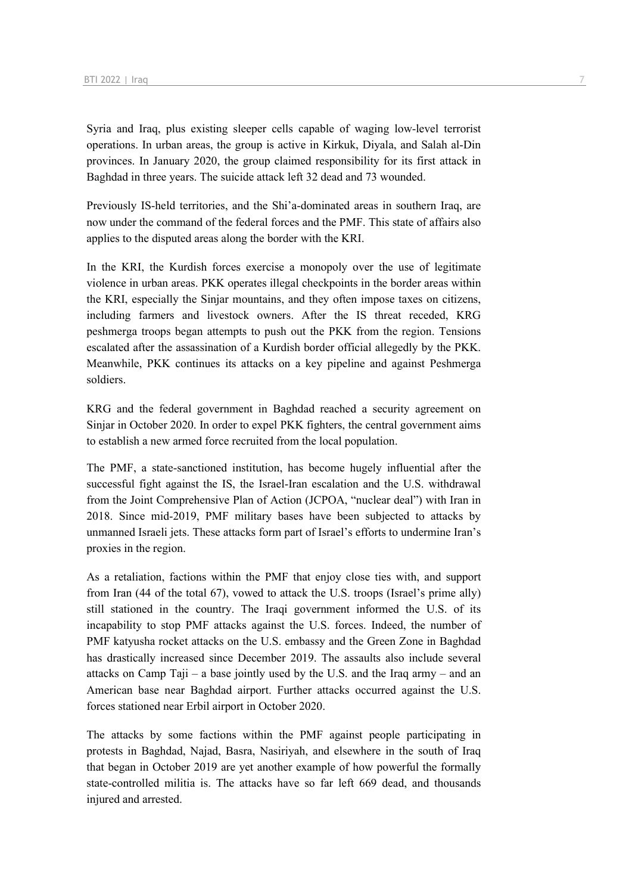Syria and Iraq, plus existing sleeper cells capable of waging low-level terrorist operations. In urban areas, the group is active in Kirkuk, Diyala, and Salah al-Din provinces. In January 2020, the group claimed responsibility for its first attack in Baghdad in three years. The suicide attack left 32 dead and 73 wounded.

Previously IS-held territories, and the Shi'a-dominated areas in southern Iraq, are now under the command of the federal forces and the PMF. This state of affairs also applies to the disputed areas along the border with the KRI.

In the KRI, the Kurdish forces exercise a monopoly over the use of legitimate violence in urban areas. PKK operates illegal checkpoints in the border areas within the KRI, especially the Sinjar mountains, and they often impose taxes on citizens, including farmers and livestock owners. After the IS threat receded, KRG peshmerga troops began attempts to push out the PKK from the region. Tensions escalated after the assassination of a Kurdish border official allegedly by the PKK. Meanwhile, PKK continues its attacks on a key pipeline and against Peshmerga soldiers.

KRG and the federal government in Baghdad reached a security agreement on Sinjar in October 2020. In order to expel PKK fighters, the central government aims to establish a new armed force recruited from the local population.

The PMF, a state-sanctioned institution, has become hugely influential after the successful fight against the IS, the Israel-Iran escalation and the U.S. withdrawal from the Joint Comprehensive Plan of Action (JCPOA, "nuclear deal") with Iran in 2018. Since mid-2019, PMF military bases have been subjected to attacks by unmanned Israeli jets. These attacks form part of Israel's efforts to undermine Iran's proxies in the region.

As a retaliation, factions within the PMF that enjoy close ties with, and support from Iran (44 of the total 67), vowed to attack the U.S. troops (Israel's prime ally) still stationed in the country. The Iraqi government informed the U.S. of its incapability to stop PMF attacks against the U.S. forces. Indeed, the number of PMF katyusha rocket attacks on the U.S. embassy and the Green Zone in Baghdad has drastically increased since December 2019. The assaults also include several attacks on Camp Taji – a base jointly used by the U.S. and the Iraq army – and an American base near Baghdad airport. Further attacks occurred against the U.S. forces stationed near Erbil airport in October 2020.

The attacks by some factions within the PMF against people participating in protests in Baghdad, Najad, Basra, Nasiriyah, and elsewhere in the south of Iraq that began in October 2019 are yet another example of how powerful the formally state-controlled militia is. The attacks have so far left 669 dead, and thousands injured and arrested.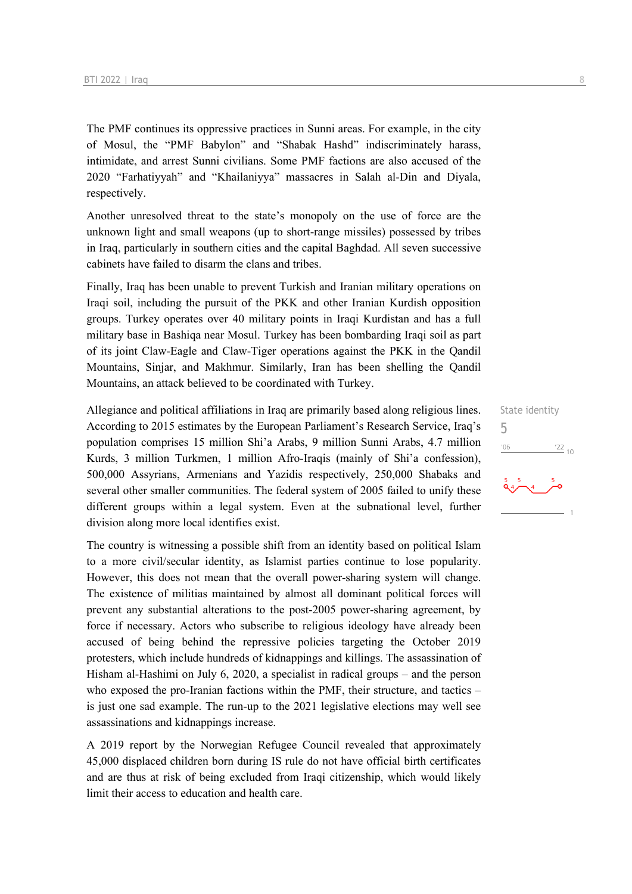The PMF continues its oppressive practices in Sunni areas. For example, in the city of Mosul, the "PMF Babylon" and "Shabak Hashd" indiscriminately harass, intimidate, and arrest Sunni civilians. Some PMF factions are also accused of the 2020 "Farhatiyyah" and "Khailaniyya" massacres in Salah al-Din and Diyala, respectively.

Another unresolved threat to the state's monopoly on the use of force are the unknown light and small weapons (up to short-range missiles) possessed by tribes in Iraq, particularly in southern cities and the capital Baghdad. All seven successive cabinets have failed to disarm the clans and tribes.

Finally, Iraq has been unable to prevent Turkish and Iranian military operations on Iraqi soil, including the pursuit of the PKK and other Iranian Kurdish opposition groups. Turkey operates over 40 military points in Iraqi Kurdistan and has a full military base in Bashiqa near Mosul. Turkey has been bombarding Iraqi soil as part of its joint Claw-Eagle and Claw-Tiger operations against the PKK in the Qandil Mountains, Sinjar, and Makhmur. Similarly, Iran has been shelling the Qandil Mountains, an attack believed to be coordinated with Turkey.

Allegiance and political affiliations in Iraq are primarily based along religious lines. According to 2015 estimates by the European Parliament's Research Service, Iraq's population comprises 15 million Shi'a Arabs, 9 million Sunni Arabs, 4.7 million Kurds, 3 million Turkmen, 1 million Afro-Iraqis (mainly of Shi'a confession), 500,000 Assyrians, Armenians and Yazidis respectively, 250,000 Shabaks and several other smaller communities. The federal system of 2005 failed to unify these different groups within a legal system. Even at the subnational level, further division along more local identifies exist.

The country is witnessing a possible shift from an identity based on political Islam to a more civil/secular identity, as Islamist parties continue to lose popularity. However, this does not mean that the overall power-sharing system will change. The existence of militias maintained by almost all dominant political forces will prevent any substantial alterations to the post-2005 power-sharing agreement, by force if necessary. Actors who subscribe to religious ideology have already been accused of being behind the repressive policies targeting the October 2019 protesters, which include hundreds of kidnappings and killings. The assassination of Hisham al-Hashimi on July 6, 2020, a specialist in radical groups – and the person who exposed the pro-Iranian factions within the PMF, their structure, and tactics – is just one sad example. The run-up to the 2021 legislative elections may well see assassinations and kidnappings increase.

A 2019 report by the Norwegian Refugee Council revealed that approximately 45,000 displaced children born during IS rule do not have official birth certificates and are thus at risk of being excluded from Iraqi citizenship, which would likely limit their access to education and health care.

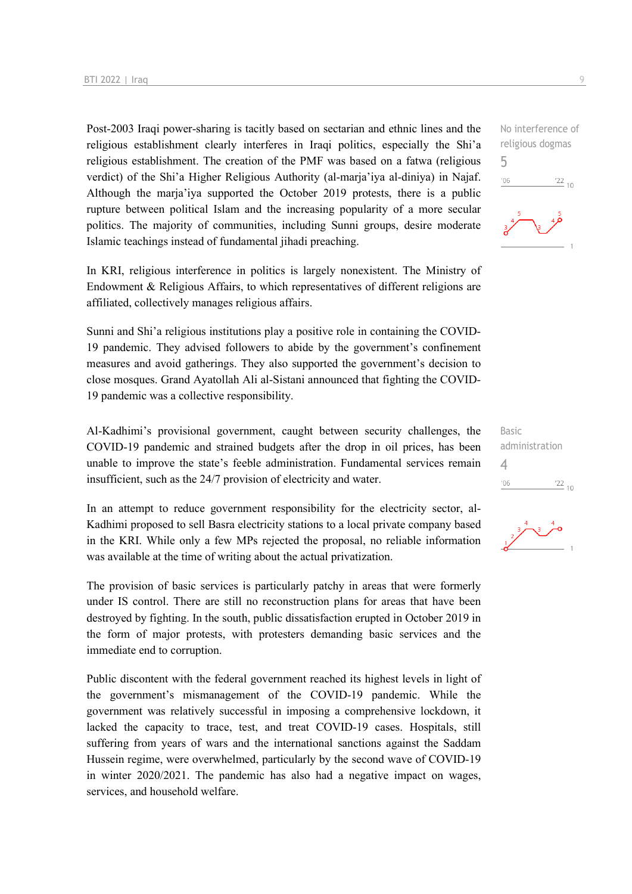Post-2003 Iraqi power-sharing is tacitly based on sectarian and ethnic lines and the religious establishment clearly interferes in Iraqi politics, especially the Shi'a religious establishment. The creation of the PMF was based on a fatwa (religious verdict) of the Shi'a Higher Religious Authority (al-marja'iya al-diniya) in Najaf. Although the marja'iya supported the October 2019 protests, there is a public rupture between political Islam and the increasing popularity of a more secular politics. The majority of communities, including Sunni groups, desire moderate Islamic teachings instead of fundamental jihadi preaching.

In KRI, religious interference in politics is largely nonexistent. The Ministry of Endowment & Religious Affairs, to which representatives of different religions are affiliated, collectively manages religious affairs.

Sunni and Shi'a religious institutions play a positive role in containing the COVID-19 pandemic. They advised followers to abide by the government's confinement measures and avoid gatherings. They also supported the government's decision to close mosques. Grand Ayatollah Ali al-Sistani announced that fighting the COVID-19 pandemic was a collective responsibility.

Al-Kadhimi's provisional government, caught between security challenges, the COVID-19 pandemic and strained budgets after the drop in oil prices, has been unable to improve the state's feeble administration. Fundamental services remain insufficient, such as the 24/7 provision of electricity and water.

In an attempt to reduce government responsibility for the electricity sector, al-Kadhimi proposed to sell Basra electricity stations to a local private company based in the KRI. While only a few MPs rejected the proposal, no reliable information was available at the time of writing about the actual privatization.

The provision of basic services is particularly patchy in areas that were formerly under IS control. There are still no reconstruction plans for areas that have been destroyed by fighting. In the south, public dissatisfaction erupted in October 2019 in the form of major protests, with protesters demanding basic services and the immediate end to corruption.

Public discontent with the federal government reached its highest levels in light of the government's mismanagement of the COVID-19 pandemic. While the government was relatively successful in imposing a comprehensive lockdown, it lacked the capacity to trace, test, and treat COVID-19 cases. Hospitals, still suffering from years of wars and the international sanctions against the Saddam Hussein regime, were overwhelmed, particularly by the second wave of COVID-19 in winter 2020/2021. The pandemic has also had a negative impact on wages, services, and household welfare.

No interference of religious dogmas  $\frac{22}{10}$ 

5

 $-06$ 



Basic administration  $\Delta$  $'06$  $\frac{22}{10}$ 

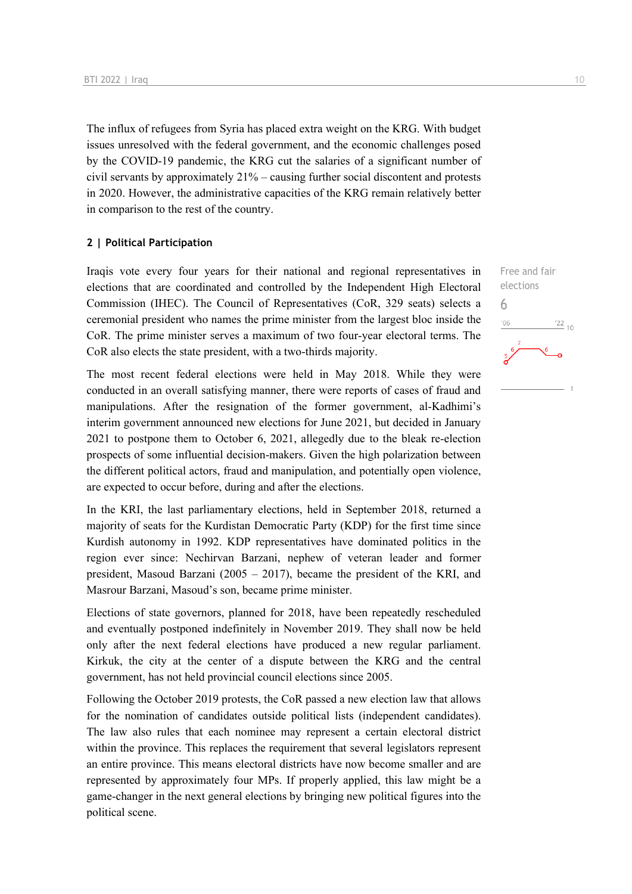The influx of refugees from Syria has placed extra weight on the KRG. With budget issues unresolved with the federal government, and the economic challenges posed by the COVID-19 pandemic, the KRG cut the salaries of a significant number of civil servants by approximately 21% – causing further social discontent and protests in 2020. However, the administrative capacities of the KRG remain relatively better in comparison to the rest of the country.

#### **2 | Political Participation**

Iraqis vote every four years for their national and regional representatives in elections that are coordinated and controlled by the Independent High Electoral Commission (IHEC). The Council of Representatives (CoR, 329 seats) selects a ceremonial president who names the prime minister from the largest bloc inside the CoR. The prime minister serves a maximum of two four-year electoral terms. The CoR also elects the state president, with a two-thirds majority.

The most recent federal elections were held in May 2018. While they were conducted in an overall satisfying manner, there were reports of cases of fraud and manipulations. After the resignation of the former government, al-Kadhimi's interim government announced new elections for June 2021, but decided in January 2021 to postpone them to October 6, 2021, allegedly due to the bleak re-election prospects of some influential decision-makers. Given the high polarization between the different political actors, fraud and manipulation, and potentially open violence, are expected to occur before, during and after the elections.

In the KRI, the last parliamentary elections, held in September 2018, returned a majority of seats for the Kurdistan Democratic Party (KDP) for the first time since Kurdish autonomy in 1992. KDP representatives have dominated politics in the region ever since: Nechirvan Barzani, nephew of veteran leader and former president, Masoud Barzani (2005 – 2017), became the president of the KRI, and Masrour Barzani, Masoud's son, became prime minister.

Elections of state governors, planned for 2018, have been repeatedly rescheduled and eventually postponed indefinitely in November 2019. They shall now be held only after the next federal elections have produced a new regular parliament. Kirkuk, the city at the center of a dispute between the KRG and the central government, has not held provincial council elections since 2005.

Following the October 2019 protests, the CoR passed a new election law that allows for the nomination of candidates outside political lists (independent candidates). The law also rules that each nominee may represent a certain electoral district within the province. This replaces the requirement that several legislators represent an entire province. This means electoral districts have now become smaller and are represented by approximately four MPs. If properly applied, this law might be a game-changer in the next general elections by bringing new political figures into the political scene.

Free and fair elections 6 $\frac{22}{10}$  $-06$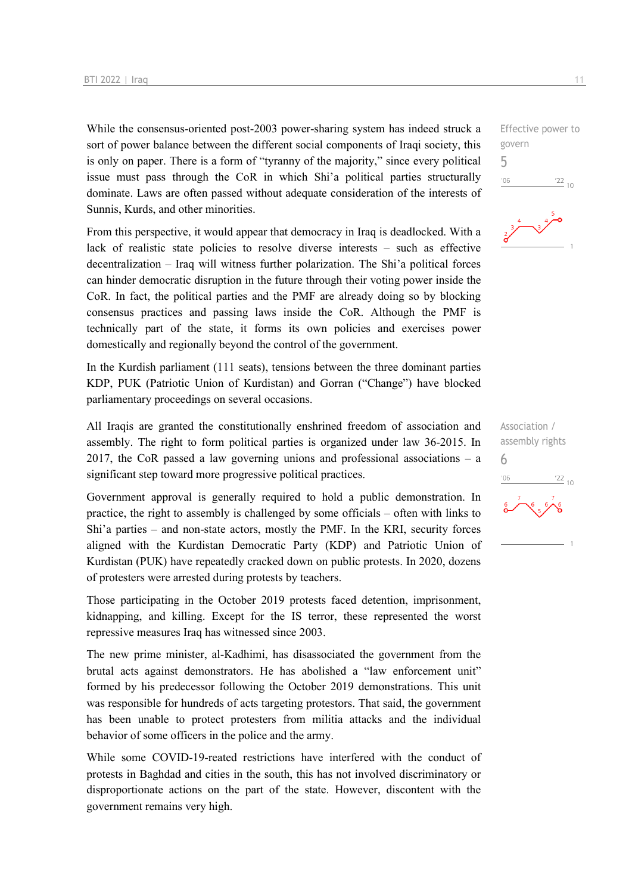While the consensus-oriented post-2003 power-sharing system has indeed struck a sort of power balance between the different social components of Iraqi society, this is only on paper. There is a form of "tyranny of the majority," since every political issue must pass through the CoR in which Shi'a political parties structurally dominate. Laws are often passed without adequate consideration of the interests of Sunnis, Kurds, and other minorities.

From this perspective, it would appear that democracy in Iraq is deadlocked. With a lack of realistic state policies to resolve diverse interests – such as effective decentralization – Iraq will witness further polarization. The Shi'a political forces can hinder democratic disruption in the future through their voting power inside the CoR. In fact, the political parties and the PMF are already doing so by blocking consensus practices and passing laws inside the CoR. Although the PMF is technically part of the state, it forms its own policies and exercises power domestically and regionally beyond the control of the government.

In the Kurdish parliament (111 seats), tensions between the three dominant parties KDP, PUK (Patriotic Union of Kurdistan) and Gorran ("Change") have blocked parliamentary proceedings on several occasions.

All Iraqis are granted the constitutionally enshrined freedom of association and assembly. The right to form political parties is organized under law 36-2015. In 2017, the CoR passed a law governing unions and professional associations – a significant step toward more progressive political practices.

Government approval is generally required to hold a public demonstration. In practice, the right to assembly is challenged by some officials – often with links to Shi'a parties – and non-state actors, mostly the PMF. In the KRI, security forces aligned with the Kurdistan Democratic Party (KDP) and Patriotic Union of Kurdistan (PUK) have repeatedly cracked down on public protests. In 2020, dozens of protesters were arrested during protests by teachers.

Those participating in the October 2019 protests faced detention, imprisonment, kidnapping, and killing. Except for the IS terror, these represented the worst repressive measures Iraq has witnessed since 2003.

The new prime minister, al-Kadhimi, has disassociated the government from the brutal acts against demonstrators. He has abolished a "law enforcement unit" formed by his predecessor following the October 2019 demonstrations. This unit was responsible for hundreds of acts targeting protestors. That said, the government has been unable to protect protesters from militia attacks and the individual behavior of some officers in the police and the army.

While some COVID-19-reated restrictions have interfered with the conduct of protests in Baghdad and cities in the south, this has not involved discriminatory or disproportionate actions on the part of the state. However, discontent with the government remains very high.

Effective power to govern 5  $06'$  $\frac{22}{10}$ 



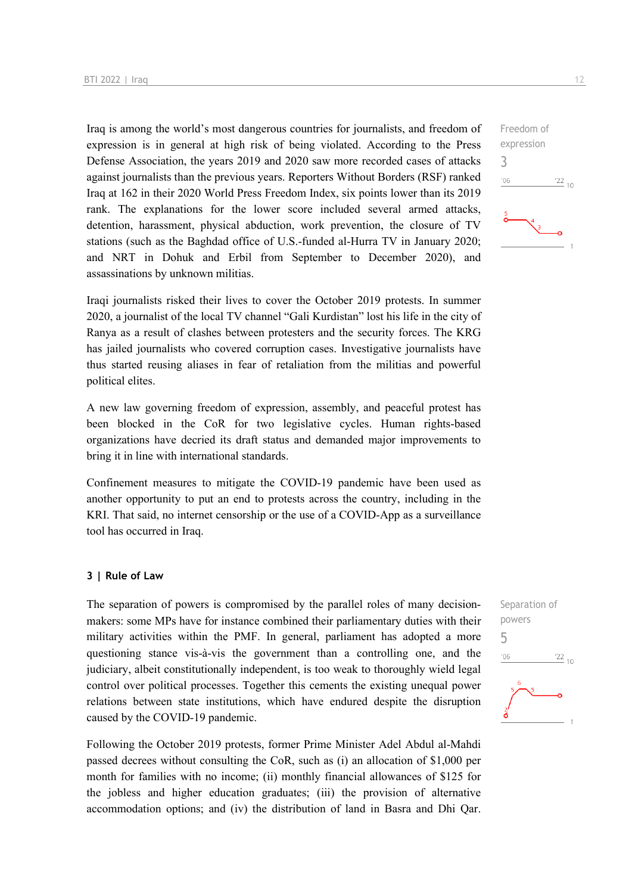Iraq is among the world's most dangerous countries for journalists, and freedom of expression is in general at high risk of being violated. According to the Press Defense Association, the years 2019 and 2020 saw more recorded cases of attacks against journalists than the previous years. Reporters Without Borders (RSF) ranked Iraq at 162 in their 2020 World Press Freedom Index, six points lower than its 2019 rank. The explanations for the lower score included several armed attacks, detention, harassment, physical abduction, work prevention, the closure of TV stations (such as the Baghdad office of U.S.-funded al-Hurra TV in January 2020; and NRT in Dohuk and Erbil from September to December 2020), and assassinations by unknown militias.

Iraqi journalists risked their lives to cover the October 2019 protests. In summer 2020, a journalist of the local TV channel "Gali Kurdistan" lost his life in the city of Ranya as a result of clashes between protesters and the security forces. The KRG has jailed journalists who covered corruption cases. Investigative journalists have thus started reusing aliases in fear of retaliation from the militias and powerful political elites.

A new law governing freedom of expression, assembly, and peaceful protest has been blocked in the CoR for two legislative cycles. Human rights-based organizations have decried its draft status and demanded major improvements to bring it in line with international standards.

Confinement measures to mitigate the COVID-19 pandemic have been used as another opportunity to put an end to protests across the country, including in the KRI. That said, no internet censorship or the use of a COVID-App as a surveillance tool has occurred in Iraq.

#### **3 | Rule of Law**

The separation of powers is compromised by the parallel roles of many decisionmakers: some MPs have for instance combined their parliamentary duties with their military activities within the PMF. In general, parliament has adopted a more questioning stance vis-à-vis the government than a controlling one, and the judiciary, albeit constitutionally independent, is too weak to thoroughly wield legal control over political processes. Together this cements the existing unequal power relations between state institutions, which have endured despite the disruption caused by the COVID-19 pandemic.

Following the October 2019 protests, former Prime Minister Adel Abdul al-Mahdi passed decrees without consulting the CoR, such as (i) an allocation of \$1,000 per month for families with no income; (ii) monthly financial allowances of \$125 for the jobless and higher education graduates; (iii) the provision of alternative accommodation options; and (iv) the distribution of land in Basra and Dhi Qar.



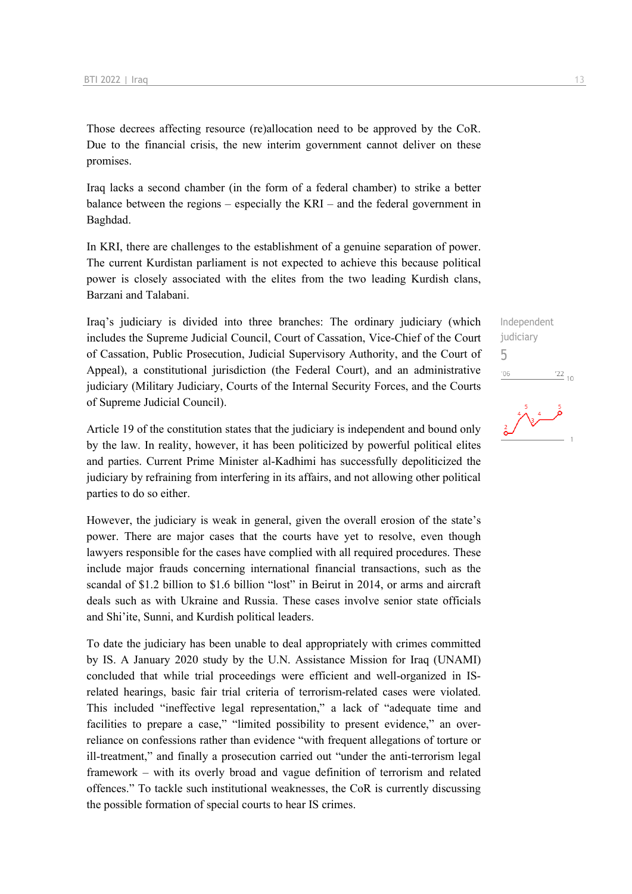Those decrees affecting resource (re)allocation need to be approved by the CoR. Due to the financial crisis, the new interim government cannot deliver on these promises.

Iraq lacks a second chamber (in the form of a federal chamber) to strike a better balance between the regions – especially the KRI – and the federal government in Baghdad.

In KRI, there are challenges to the establishment of a genuine separation of power. The current Kurdistan parliament is not expected to achieve this because political power is closely associated with the elites from the two leading Kurdish clans, Barzani and Talabani.

Iraq's judiciary is divided into three branches: The ordinary judiciary (which includes the Supreme Judicial Council, Court of Cassation, Vice-Chief of the Court of Cassation, Public Prosecution, Judicial Supervisory Authority, and the Court of Appeal), a constitutional jurisdiction (the Federal Court), and an administrative judiciary (Military Judiciary, Courts of the Internal Security Forces, and the Courts of Supreme Judicial Council).

Article 19 of the constitution states that the judiciary is independent and bound only by the law. In reality, however, it has been politicized by powerful political elites and parties. Current Prime Minister al-Kadhimi has successfully depoliticized the judiciary by refraining from interfering in its affairs, and not allowing other political parties to do so either.

However, the judiciary is weak in general, given the overall erosion of the state's power. There are major cases that the courts have yet to resolve, even though lawyers responsible for the cases have complied with all required procedures. These include major frauds concerning international financial transactions, such as the scandal of \$1.2 billion to \$1.6 billion "lost" in Beirut in 2014, or arms and aircraft deals such as with Ukraine and Russia. These cases involve senior state officials and Shi'ite, Sunni, and Kurdish political leaders.

To date the judiciary has been unable to deal appropriately with crimes committed by IS. A January 2020 study by the U.N. Assistance Mission for Iraq (UNAMI) concluded that while trial proceedings were efficient and well-organized in ISrelated hearings, basic fair trial criteria of terrorism-related cases were violated. This included "ineffective legal representation," a lack of "adequate time and facilities to prepare a case," "limited possibility to present evidence," an overreliance on confessions rather than evidence "with frequent allegations of torture or ill-treatment," and finally a prosecution carried out "under the anti-terrorism legal framework – with its overly broad and vague definition of terrorism and related offences." To tackle such institutional weaknesses, the CoR is currently discussing the possible formation of special courts to hear IS crimes.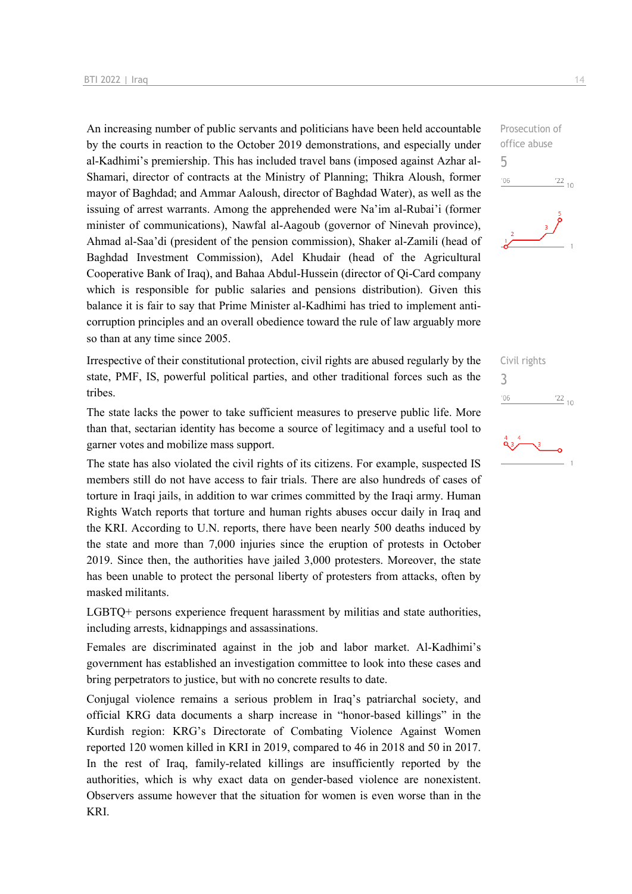An increasing number of public servants and politicians have been held accountable by the courts in reaction to the October 2019 demonstrations, and especially under al-Kadhimi's premiership. This has included travel bans (imposed against Azhar al-Shamari, director of contracts at the Ministry of Planning; Thikra Aloush, former mayor of Baghdad; and Ammar Aaloush, director of Baghdad Water), as well as the issuing of arrest warrants. Among the apprehended were Na'im al-Rubai'i (former minister of communications), Nawfal al-Aagoub (governor of Ninevah province), Ahmad al-Saa'di (president of the pension commission), Shaker al-Zamili (head of Baghdad Investment Commission), Adel Khudair (head of the Agricultural Cooperative Bank of Iraq), and Bahaa Abdul-Hussein (director of Qi-Card company which is responsible for public salaries and pensions distribution). Given this balance it is fair to say that Prime Minister al-Kadhimi has tried to implement anticorruption principles and an overall obedience toward the rule of law arguably more so than at any time since 2005.

Irrespective of their constitutional protection, civil rights are abused regularly by the state, PMF, IS, powerful political parties, and other traditional forces such as the tribes.

The state lacks the power to take sufficient measures to preserve public life. More than that, sectarian identity has become a source of legitimacy and a useful tool to garner votes and mobilize mass support.

The state has also violated the civil rights of its citizens. For example, suspected IS members still do not have access to fair trials. There are also hundreds of cases of torture in Iraqi jails, in addition to war crimes committed by the Iraqi army. Human Rights Watch reports that torture and human rights abuses occur daily in Iraq and the KRI. According to U.N. reports, there have been nearly 500 deaths induced by the state and more than 7,000 injuries since the eruption of protests in October 2019. Since then, the authorities have jailed 3,000 protesters. Moreover, the state has been unable to protect the personal liberty of protesters from attacks, often by masked militants.

LGBTQ+ persons experience frequent harassment by militias and state authorities, including arrests, kidnappings and assassinations.

Females are discriminated against in the job and labor market. Al-Kadhimi's government has established an investigation committee to look into these cases and bring perpetrators to justice, but with no concrete results to date.

Conjugal violence remains a serious problem in Iraq's patriarchal society, and official KRG data documents a sharp increase in "honor-based killings" in the Kurdish region: KRG's Directorate of Combating Violence Against Women reported 120 women killed in KRI in 2019, compared to 46 in 2018 and 50 in 2017. In the rest of Iraq, family-related killings are insufficiently reported by the authorities, which is why exact data on gender-based violence are nonexistent. Observers assume however that the situation for women is even worse than in the KRI.

Prosecution of office abuse 5  $-06$  $\frac{22}{10}$ 

Civil rights 3 $-06$  $\frac{22}{10}$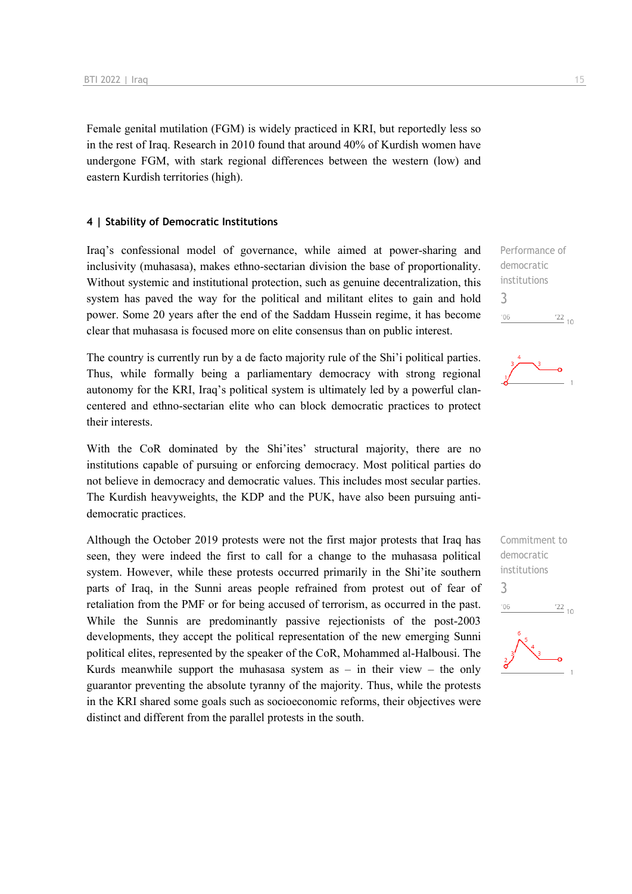Female genital mutilation (FGM) is widely practiced in KRI, but reportedly less so in the rest of Iraq. Research in 2010 found that around 40% of Kurdish women have undergone FGM, with stark regional differences between the western (low) and eastern Kurdish territories (high).

#### **4 | Stability of Democratic Institutions**

Iraq's confessional model of governance, while aimed at power-sharing and inclusivity (muhasasa), makes ethno-sectarian division the base of proportionality. Without systemic and institutional protection, such as genuine decentralization, this system has paved the way for the political and militant elites to gain and hold power. Some 20 years after the end of the Saddam Hussein regime, it has become clear that muhasasa is focused more on elite consensus than on public interest.

The country is currently run by a de facto majority rule of the Shi'i political parties. Thus, while formally being a parliamentary democracy with strong regional autonomy for the KRI, Iraq's political system is ultimately led by a powerful clancentered and ethno-sectarian elite who can block democratic practices to protect their interests.

With the CoR dominated by the Shi'ites' structural majority, there are no institutions capable of pursuing or enforcing democracy. Most political parties do not believe in democracy and democratic values. This includes most secular parties. The Kurdish heavyweights, the KDP and the PUK, have also been pursuing antidemocratic practices.

Although the October 2019 protests were not the first major protests that Iraq has seen, they were indeed the first to call for a change to the muhasasa political system. However, while these protests occurred primarily in the Shi'ite southern parts of Iraq, in the Sunni areas people refrained from protest out of fear of retaliation from the PMF or for being accused of terrorism, as occurred in the past. While the Sunnis are predominantly passive rejectionists of the post-2003 developments, they accept the political representation of the new emerging Sunni political elites, represented by the speaker of the CoR, Mohammed al-Halbousi. The Kurds meanwhile support the muhasasa system as  $-$  in their view  $-$  the only guarantor preventing the absolute tyranny of the majority. Thus, while the protests in the KRI shared some goals such as socioeconomic reforms, their objectives were distinct and different from the parallel protests in the south.

Performance of democratic institutions 3  $06'$  $\frac{22}{10}$ 



Commitment to democratic institutions 3 $06'$  $\frac{22}{10}$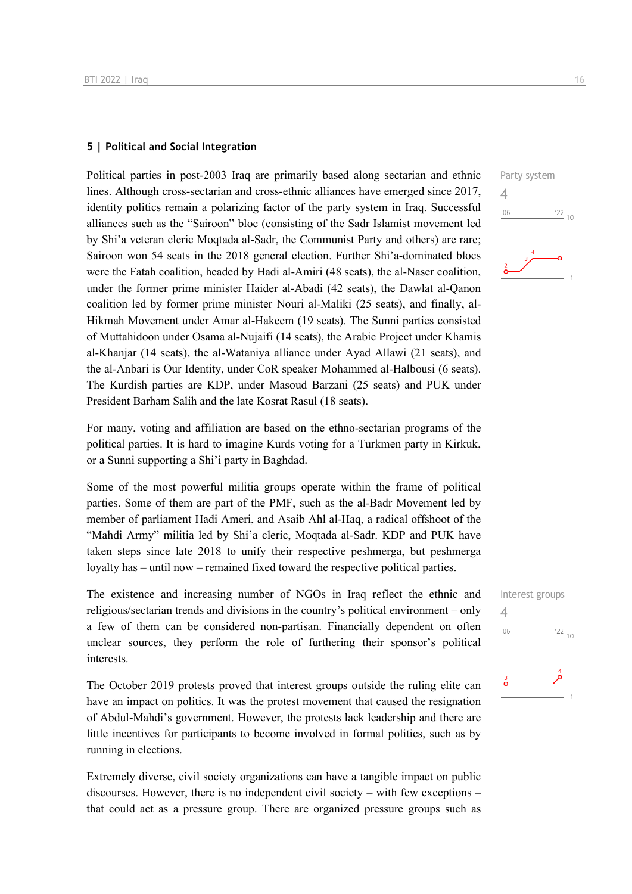#### **5 | Political and Social Integration**

Political parties in post-2003 Iraq are primarily based along sectarian and ethnic lines. Although cross-sectarian and cross-ethnic alliances have emerged since 2017, identity politics remain a polarizing factor of the party system in Iraq. Successful alliances such as the "Sairoon" bloc (consisting of the Sadr Islamist movement led by Shi'a veteran cleric Moqtada al-Sadr, the Communist Party and others) are rare; Sairoon won 54 seats in the 2018 general election. Further Shi'a-dominated blocs were the Fatah coalition, headed by Hadi al-Amiri (48 seats), the al-Naser coalition, under the former prime minister Haider al-Abadi (42 seats), the Dawlat al-Qanon coalition led by former prime minister Nouri al-Maliki (25 seats), and finally, al-Hikmah Movement under Amar al-Hakeem (19 seats). The Sunni parties consisted of Muttahidoon under Osama al-Nujaifi (14 seats), the Arabic Project under Khamis al-Khanjar (14 seats), the al-Wataniya alliance under Ayad Allawi (21 seats), and the al-Anbari is Our Identity, under CoR speaker Mohammed al-Halbousi (6 seats). The Kurdish parties are KDP, under Masoud Barzani (25 seats) and PUK under President Barham Salih and the late Kosrat Rasul (18 seats).

For many, voting and affiliation are based on the ethno-sectarian programs of the political parties. It is hard to imagine Kurds voting for a Turkmen party in Kirkuk, or a Sunni supporting a Shi'i party in Baghdad.

Some of the most powerful militia groups operate within the frame of political parties. Some of them are part of the PMF, such as the al-Badr Movement led by member of parliament Hadi Ameri, and Asaib Ahl al-Haq, a radical offshoot of the "Mahdi Army" militia led by Shi'a cleric, Moqtada al-Sadr. KDP and PUK have taken steps since late 2018 to unify their respective peshmerga, but peshmerga loyalty has – until now – remained fixed toward the respective political parties.

The existence and increasing number of NGOs in Iraq reflect the ethnic and religious/sectarian trends and divisions in the country's political environment – only a few of them can be considered non-partisan. Financially dependent on often unclear sources, they perform the role of furthering their sponsor's political interests.

The October 2019 protests proved that interest groups outside the ruling elite can have an impact on politics. It was the protest movement that caused the resignation of Abdul-Mahdi's government. However, the protests lack leadership and there are little incentives for participants to become involved in formal politics, such as by running in elections.

Extremely diverse, civil society organizations can have a tangible impact on public discourses. However, there is no independent civil society – with few exceptions – that could act as a pressure group. There are organized pressure groups such as





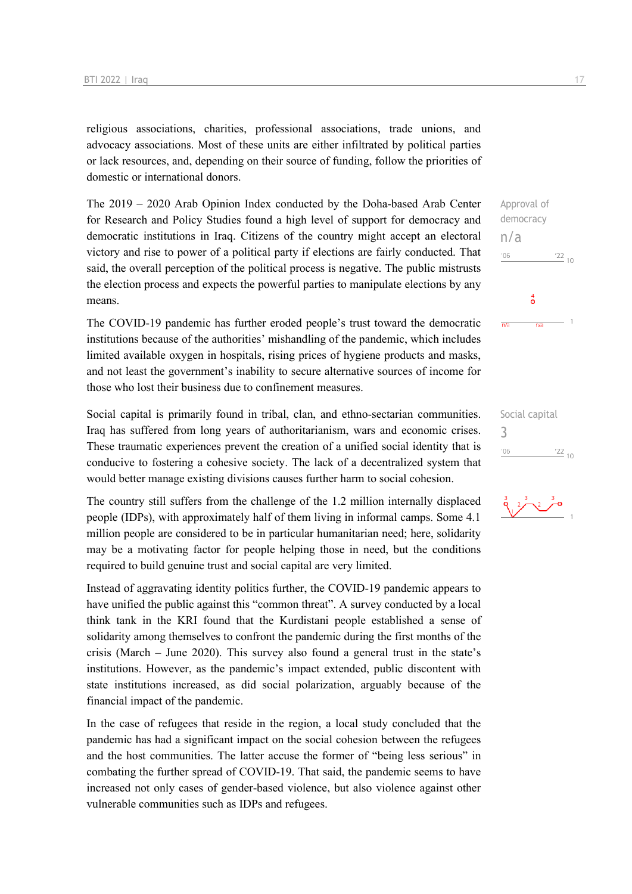religious associations, charities, professional associations, trade unions, and advocacy associations. Most of these units are either infiltrated by political parties or lack resources, and, depending on their source of funding, follow the priorities of domestic or international donors.

The 2019 – 2020 Arab Opinion Index conducted by the Doha-based Arab Center for Research and Policy Studies found a high level of support for democracy and democratic institutions in Iraq. Citizens of the country might accept an electoral victory and rise to power of a political party if elections are fairly conducted. That said, the overall perception of the political process is negative. The public mistrusts the election process and expects the powerful parties to manipulate elections by any means.

The COVID-19 pandemic has further eroded people's trust toward the democratic institutions because of the authorities' mishandling of the pandemic, which includes limited available oxygen in hospitals, rising prices of hygiene products and masks, and not least the government's inability to secure alternative sources of income for those who lost their business due to confinement measures.

Social capital is primarily found in tribal, clan, and ethno-sectarian communities. Iraq has suffered from long years of authoritarianism, wars and economic crises. These traumatic experiences prevent the creation of a unified social identity that is conducive to fostering a cohesive society. The lack of a decentralized system that would better manage existing divisions causes further harm to social cohesion.

The country still suffers from the challenge of the 1.2 million internally displaced people (IDPs), with approximately half of them living in informal camps. Some 4.1 million people are considered to be in particular humanitarian need; here, solidarity may be a motivating factor for people helping those in need, but the conditions required to build genuine trust and social capital are very limited.

Instead of aggravating identity politics further, the COVID-19 pandemic appears to have unified the public against this "common threat". A survey conducted by a local think tank in the KRI found that the Kurdistani people established a sense of solidarity among themselves to confront the pandemic during the first months of the crisis (March – June 2020). This survey also found a general trust in the state's institutions. However, as the pandemic's impact extended, public discontent with state institutions increased, as did social polarization, arguably because of the financial impact of the pandemic.

In the case of refugees that reside in the region, a local study concluded that the pandemic has had a significant impact on the social cohesion between the refugees and the host communities. The latter accuse the former of "being less serious" in combating the further spread of COVID-19. That said, the pandemic seems to have increased not only cases of gender-based violence, but also violence against other vulnerable communities such as IDPs and refugees.

 $\frac{22}{10}$ 

Approval of democracy

 $\ddot{\mathbf{o}}$ 

 $\overline{h}$ 

n/a

 $-06$ 

 $\frac{1}{n}$ 

 $-06$ 



 $\frac{22}{10}$ 

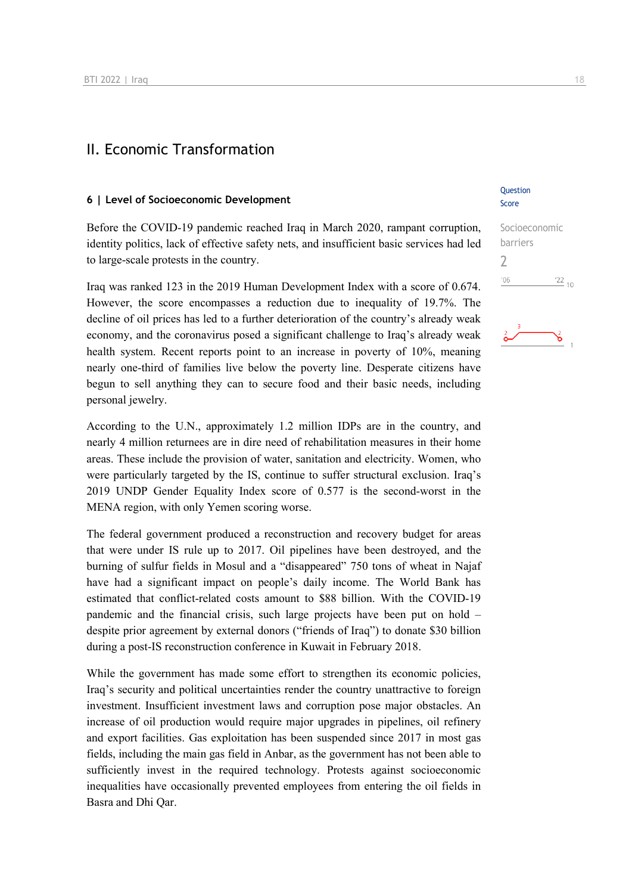## II. Economic Transformation

#### **6 | Level of Socioeconomic Development**

Before the COVID-19 pandemic reached Iraq in March 2020, rampant corruption, identity politics, lack of effective safety nets, and insufficient basic services had led to large-scale protests in the country.

Iraq was ranked 123 in the 2019 Human Development Index with a score of 0.674. However, the score encompasses a reduction due to inequality of 19.7%. The decline of oil prices has led to a further deterioration of the country's already weak economy, and the coronavirus posed a significant challenge to Iraq's already weak health system. Recent reports point to an increase in poverty of 10%, meaning nearly one-third of families live below the poverty line. Desperate citizens have begun to sell anything they can to secure food and their basic needs, including personal jewelry.

According to the U.N., approximately 1.2 million IDPs are in the country, and nearly 4 million returnees are in dire need of rehabilitation measures in their home areas. These include the provision of water, sanitation and electricity. Women, who were particularly targeted by the IS, continue to suffer structural exclusion. Iraq's 2019 UNDP Gender Equality Index score of 0.577 is the second-worst in the MENA region, with only Yemen scoring worse.

The federal government produced a reconstruction and recovery budget for areas that were under IS rule up to 2017. Oil pipelines have been destroyed, and the burning of sulfur fields in Mosul and a "disappeared" 750 tons of wheat in Najaf have had a significant impact on people's daily income. The World Bank has estimated that conflict-related costs amount to \$88 billion. With the COVID-19 pandemic and the financial crisis, such large projects have been put on hold – despite prior agreement by external donors ("friends of Iraq") to donate \$30 billion during a post-IS reconstruction conference in Kuwait in February 2018.

While the government has made some effort to strengthen its economic policies, Iraq's security and political uncertainties render the country unattractive to foreign investment. Insufficient investment laws and corruption pose major obstacles. An increase of oil production would require major upgrades in pipelines, oil refinery and export facilities. Gas exploitation has been suspended since 2017 in most gas fields, including the main gas field in Anbar, as the government has not been able to sufficiently invest in the required technology. Protests against socioeconomic inequalities have occasionally prevented employees from entering the oil fields in Basra and Dhi Qar.

#### Question Score

| Socioeconomic |            |
|---------------|------------|
| barriers      |            |
|               |            |
| '06           | $122_{10}$ |
|               |            |

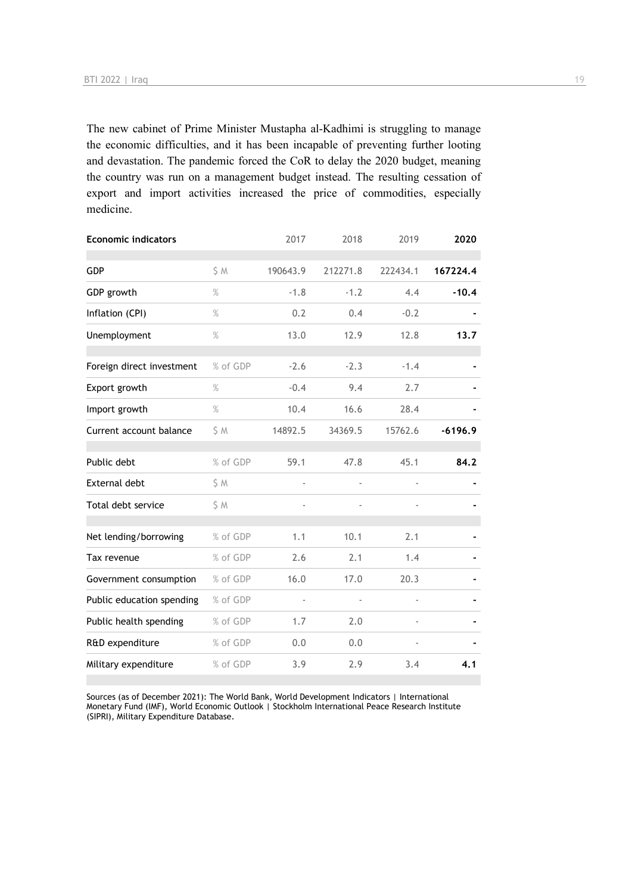The new cabinet of Prime Minister Mustapha al-Kadhimi is struggling to manage the economic difficulties, and it has been incapable of preventing further looting and devastation. The pandemic forced the CoR to delay the 2020 budget, meaning the country was run on a management budget instead. The resulting cessation of export and import activities increased the price of commodities, especially medicine.

| <b>Economic indicators</b> |          | 2017                     | 2018                     | 2019                         | 2020      |
|----------------------------|----------|--------------------------|--------------------------|------------------------------|-----------|
| <b>GDP</b>                 | \$ M     | 190643.9                 | 212271.8                 | 222434.1                     | 167224.4  |
| GDP growth                 | $\%$     | $-1.8$                   | $-1.2$                   | 4.4                          | $-10.4$   |
| Inflation (CPI)            | $\%$     | 0.2                      | 0.4                      | $-0.2$                       |           |
| Unemployment               | $\%$     | 13.0                     | 12.9                     | 12.8                         | 13.7      |
| Foreign direct investment  | % of GDP | $-2.6$                   | $-2.3$                   | $-1.4$                       |           |
| Export growth              | $\%$     | $-0.4$                   | 9.4                      | 2.7                          |           |
| Import growth              | $\%$     | 10.4                     | 16.6                     | 28.4                         |           |
| Current account balance    | \$ M     | 14892.5                  | 34369.5                  | 15762.6                      | $-6196.9$ |
| Public debt                | % of GDP | 59.1                     | 47.8                     | 45.1                         | 84.2      |
| <b>External debt</b>       | \$M      | $\blacksquare$           | $\blacksquare$           | $\overline{\phantom{a}}$     |           |
| Total debt service         | \$M      | $\overline{\phantom{a}}$ | $\overline{\phantom{0}}$ | $\qquad \qquad \blacksquare$ |           |
| Net lending/borrowing      | % of GDP | 1.1                      | 10.1                     | 2.1                          |           |
| Tax revenue                | % of GDP | 2.6                      | 2.1                      | 1.4                          |           |
| Government consumption     | % of GDP | 16.0                     | 17.0                     | 20.3                         |           |
| Public education spending  | % of GDP | ÷,                       | $\frac{1}{2}$            | $\overline{a}$               |           |
| Public health spending     | % of GDP | 1.7                      | 2.0                      |                              |           |
| R&D expenditure            | % of GDP | 0.0                      | 0.0                      |                              |           |
| Military expenditure       | % of GDP | 3.9                      | 2.9                      | 3.4                          | 4.1       |

Sources (as of December 2021): The World Bank, World Development Indicators | International Monetary Fund (IMF), World Economic Outlook | Stockholm International Peace Research Institute (SIPRI), Military Expenditure Database.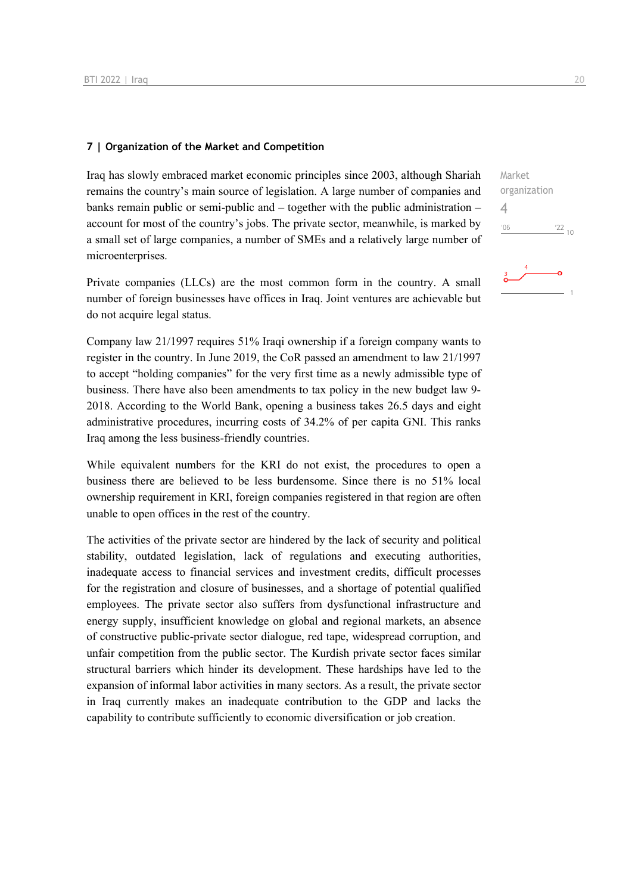#### **7 | Organization of the Market and Competition**

Iraq has slowly embraced market economic principles since 2003, although Shariah remains the country's main source of legislation. A large number of companies and banks remain public or semi-public and – together with the public administration – account for most of the country's jobs. The private sector, meanwhile, is marked by a small set of large companies, a number of SMEs and a relatively large number of microenterprises.

Private companies (LLCs) are the most common form in the country. A small number of foreign businesses have offices in Iraq. Joint ventures are achievable but do not acquire legal status.

Company law 21/1997 requires 51% Iraqi ownership if a foreign company wants to register in the country. In June 2019, the CoR passed an amendment to law 21/1997 to accept "holding companies" for the very first time as a newly admissible type of business. There have also been amendments to tax policy in the new budget law 9- 2018. According to the World Bank, opening a business takes 26.5 days and eight administrative procedures, incurring costs of 34.2% of per capita GNI. This ranks Iraq among the less business-friendly countries.

While equivalent numbers for the KRI do not exist, the procedures to open a business there are believed to be less burdensome. Since there is no 51% local ownership requirement in KRI, foreign companies registered in that region are often unable to open offices in the rest of the country.

The activities of the private sector are hindered by the lack of security and political stability, outdated legislation, lack of regulations and executing authorities, inadequate access to financial services and investment credits, difficult processes for the registration and closure of businesses, and a shortage of potential qualified employees. The private sector also suffers from dysfunctional infrastructure and energy supply, insufficient knowledge on global and regional markets, an absence of constructive public-private sector dialogue, red tape, widespread corruption, and unfair competition from the public sector. The Kurdish private sector faces similar structural barriers which hinder its development. These hardships have led to the expansion of informal labor activities in many sectors. As a result, the private sector in Iraq currently makes an inadequate contribution to the GDP and lacks the capability to contribute sufficiently to economic diversification or job creation.

| з                      |
|------------------------|
| '06<br>$\frac{22}{10}$ |
|                        |
| organization           |
| Market                 |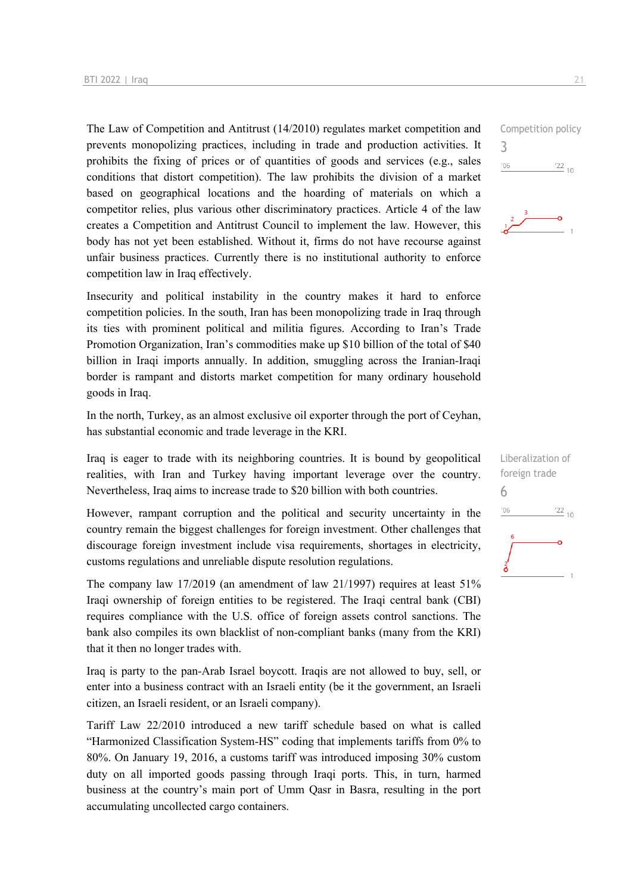The Law of Competition and Antitrust (14/2010) regulates market competition and prevents monopolizing practices, including in trade and production activities. It prohibits the fixing of prices or of quantities of goods and services (e.g., sales conditions that distort competition). The law prohibits the division of a market based on geographical locations and the hoarding of materials on which a competitor relies, plus various other discriminatory practices. Article 4 of the law creates a Competition and Antitrust Council to implement the law. However, this body has not yet been established. Without it, firms do not have recourse against unfair business practices. Currently there is no institutional authority to enforce competition law in Iraq effectively.

Insecurity and political instability in the country makes it hard to enforce competition policies. In the south, Iran has been monopolizing trade in Iraq through its ties with prominent political and militia figures. According to Iran's Trade Promotion Organization, Iran's commodities make up \$10 billion of the total of \$40 billion in Iraqi imports annually. In addition, smuggling across the Iranian-Iraqi border is rampant and distorts market competition for many ordinary household goods in Iraq.

In the north, Turkey, as an almost exclusive oil exporter through the port of Ceyhan, has substantial economic and trade leverage in the KRI.

Iraq is eager to trade with its neighboring countries. It is bound by geopolitical realities, with Iran and Turkey having important leverage over the country. Nevertheless, Iraq aims to increase trade to \$20 billion with both countries.

However, rampant corruption and the political and security uncertainty in the country remain the biggest challenges for foreign investment. Other challenges that discourage foreign investment include visa requirements, shortages in electricity, customs regulations and unreliable dispute resolution regulations.

The company law 17/2019 (an amendment of law 21/1997) requires at least 51% Iraqi ownership of foreign entities to be registered. The Iraqi central bank (CBI) requires compliance with the U.S. office of foreign assets control sanctions. The bank also compiles its own blacklist of non-compliant banks (many from the KRI) that it then no longer trades with.

Iraq is party to the pan-Arab Israel boycott. Iraqis are not allowed to buy, sell, or enter into a business contract with an Israeli entity (be it the government, an Israeli citizen, an Israeli resident, or an Israeli company).

Tariff Law 22/2010 introduced a new tariff schedule based on what is called "Harmonized Classification System-HS" coding that implements tariffs from 0% to 80%. On January 19, 2016, a customs tariff was introduced imposing 30% custom duty on all imported goods passing through Iraqi ports. This, in turn, harmed business at the country's main port of Umm Qasr in Basra, resulting in the port accumulating uncollected cargo containers.

3



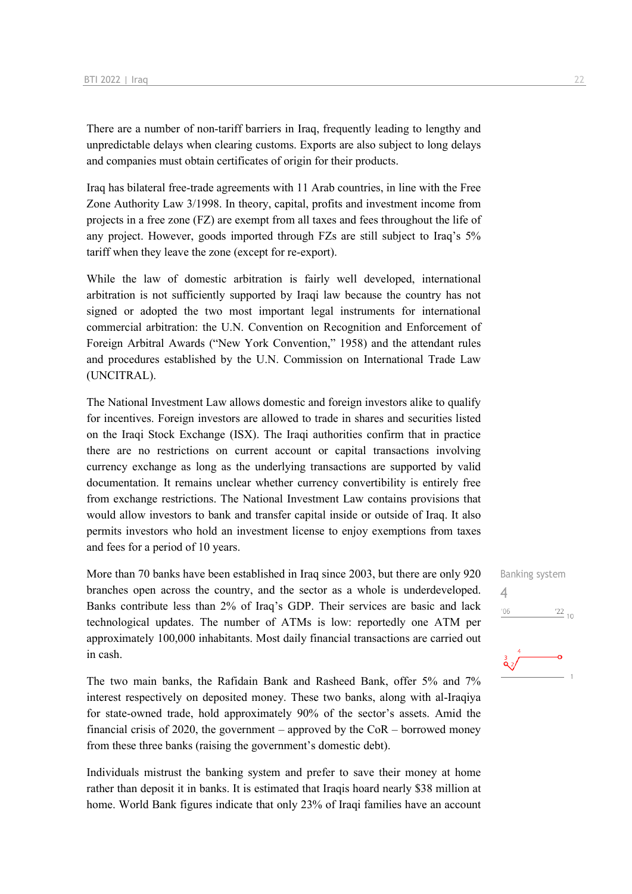There are a number of non-tariff barriers in Iraq, frequently leading to lengthy and unpredictable delays when clearing customs. Exports are also subject to long delays and companies must obtain certificates of origin for their products.

Iraq has bilateral free-trade agreements with 11 Arab countries, in line with the Free Zone Authority Law 3/1998. In theory, capital, profits and investment income from projects in a free zone (FZ) are exempt from all taxes and fees throughout the life of any project. However, goods imported through FZs are still subject to Iraq's 5% tariff when they leave the zone (except for re-export).

While the law of domestic arbitration is fairly well developed, international arbitration is not sufficiently supported by Iraqi law because the country has not signed or adopted the two most important legal instruments for international commercial arbitration: the U.N. Convention on Recognition and Enforcement of Foreign Arbitral Awards ("New York Convention," 1958) and the attendant rules and procedures established by the U.N. Commission on International Trade Law (UNCITRAL).

The National Investment Law allows domestic and foreign investors alike to qualify for incentives. Foreign investors are allowed to trade in shares and securities listed on the Iraqi Stock Exchange (ISX). The Iraqi authorities confirm that in practice there are no restrictions on current account or capital transactions involving currency exchange as long as the underlying transactions are supported by valid documentation. It remains unclear whether currency convertibility is entirely free from exchange restrictions. The National Investment Law contains provisions that would allow investors to bank and transfer capital inside or outside of Iraq. It also permits investors who hold an investment license to enjoy exemptions from taxes and fees for a period of 10 years.

More than 70 banks have been established in Iraq since 2003, but there are only 920 branches open across the country, and the sector as a whole is underdeveloped. Banks contribute less than 2% of Iraq's GDP. Their services are basic and lack technological updates. The number of ATMs is low: reportedly one ATM per approximately 100,000 inhabitants. Most daily financial transactions are carried out in cash.

The two main banks, the Rafidain Bank and Rasheed Bank, offer 5% and 7% interest respectively on deposited money. These two banks, along with al-Iraqiya for state-owned trade, hold approximately 90% of the sector's assets. Amid the financial crisis of 2020, the government – approved by the  $CoR$  – borrowed money from these three banks (raising the government's domestic debt).

Individuals mistrust the banking system and prefer to save their money at home rather than deposit it in banks. It is estimated that Iraqis hoard nearly \$38 million at home. World Bank figures indicate that only 23% of Iraqi families have an account Banking system 4 $^{\prime}06$  $\frac{22}{10}$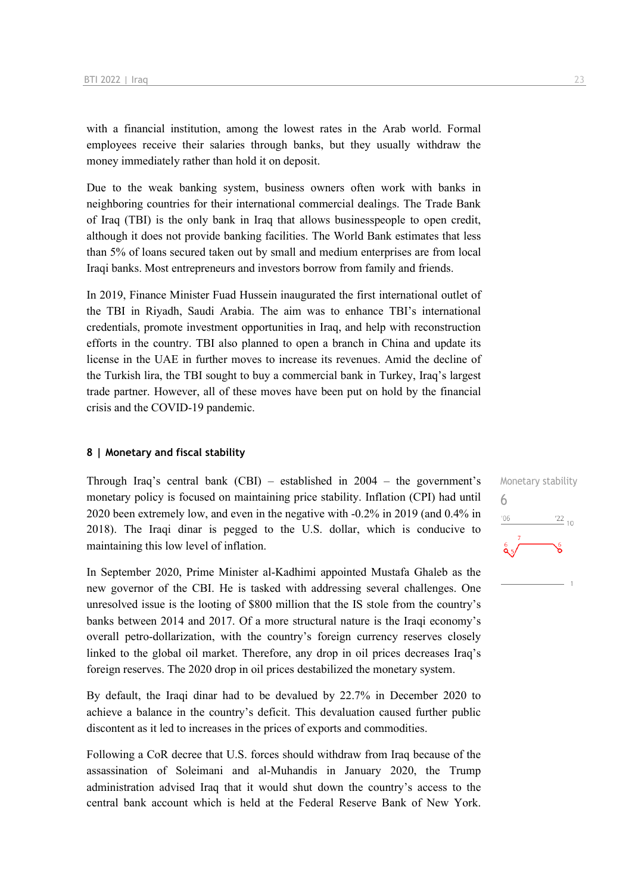with a financial institution, among the lowest rates in the Arab world. Formal employees receive their salaries through banks, but they usually withdraw the money immediately rather than hold it on deposit.

Due to the weak banking system, business owners often work with banks in neighboring countries for their international commercial dealings. The Trade Bank of Iraq (TBI) is the only bank in Iraq that allows businesspeople to open credit, although it does not provide banking facilities. The World Bank estimates that less than 5% of loans secured taken out by small and medium enterprises are from local Iraqi banks. Most entrepreneurs and investors borrow from family and friends.

In 2019, Finance Minister Fuad Hussein inaugurated the first international outlet of the TBI in Riyadh, Saudi Arabia. The aim was to enhance TBI's international credentials, promote investment opportunities in Iraq, and help with reconstruction efforts in the country. TBI also planned to open a branch in China and update its license in the UAE in further moves to increase its revenues. Amid the decline of the Turkish lira, the TBI sought to buy a commercial bank in Turkey, Iraq's largest trade partner. However, all of these moves have been put on hold by the financial crisis and the COVID-19 pandemic.

#### **8 | Monetary and fiscal stability**

Through Iraq's central bank (CBI) – established in 2004 – the government's monetary policy is focused on maintaining price stability. Inflation (CPI) had until 2020 been extremely low, and even in the negative with -0.2% in 2019 (and 0.4% in 2018). The Iraqi dinar is pegged to the U.S. dollar, which is conducive to maintaining this low level of inflation.

In September 2020, Prime Minister al-Kadhimi appointed Mustafa Ghaleb as the new governor of the CBI. He is tasked with addressing several challenges. One unresolved issue is the looting of \$800 million that the IS stole from the country's banks between 2014 and 2017. Of a more structural nature is the Iraqi economy's overall petro-dollarization, with the country's foreign currency reserves closely linked to the global oil market. Therefore, any drop in oil prices decreases Iraq's foreign reserves. The 2020 drop in oil prices destabilized the monetary system.

By default, the Iraqi dinar had to be devalued by 22.7% in December 2020 to achieve a balance in the country's deficit. This devaluation caused further public discontent as it led to increases in the prices of exports and commodities.

Following a CoR decree that U.S. forces should withdraw from Iraq because of the assassination of Soleimani and al-Muhandis in January 2020, the Trump administration advised Iraq that it would shut down the country's access to the central bank account which is held at the Federal Reserve Bank of New York. Monetary stability 6 $\frac{22}{10}$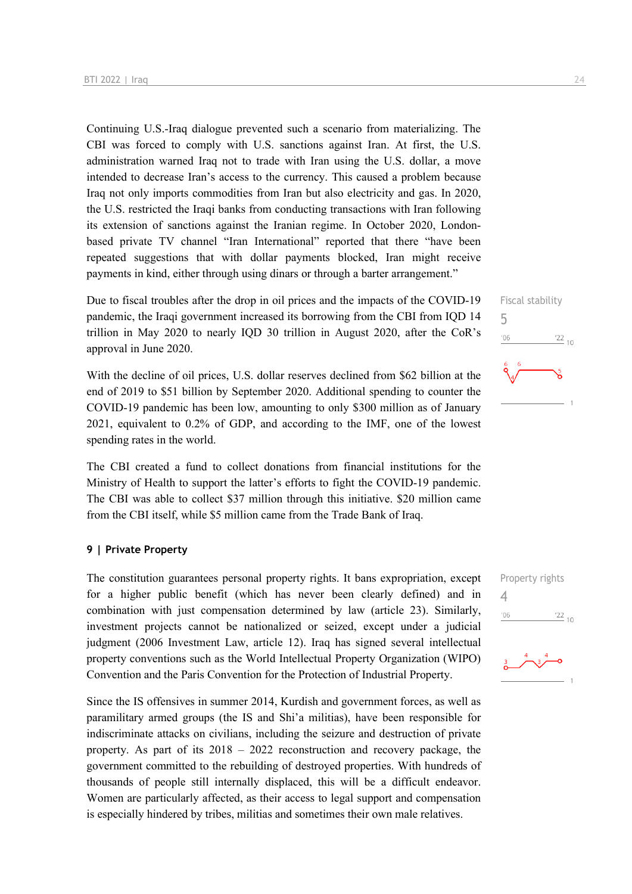Continuing U.S.-Iraq dialogue prevented such a scenario from materializing. The CBI was forced to comply with U.S. sanctions against Iran. At first, the U.S. administration warned Iraq not to trade with Iran using the U.S. dollar, a move intended to decrease Iran's access to the currency. This caused a problem because Iraq not only imports commodities from Iran but also electricity and gas. In 2020, the U.S. restricted the Iraqi banks from conducting transactions with Iran following its extension of sanctions against the Iranian regime. In October 2020, Londonbased private TV channel "Iran International" reported that there "have been repeated suggestions that with dollar payments blocked, Iran might receive payments in kind, either through using dinars or through a barter arrangement."

Due to fiscal troubles after the drop in oil prices and the impacts of the COVID-19 pandemic, the Iraqi government increased its borrowing from the CBI from IQD 14 trillion in May 2020 to nearly IQD 30 trillion in August 2020, after the CoR's approval in June 2020.

With the decline of oil prices, U.S. dollar reserves declined from \$62 billion at the end of 2019 to \$51 billion by September 2020. Additional spending to counter the COVID-19 pandemic has been low, amounting to only \$300 million as of January 2021, equivalent to 0.2% of GDP, and according to the IMF, one of the lowest spending rates in the world.

The CBI created a fund to collect donations from financial institutions for the Ministry of Health to support the latter's efforts to fight the COVID-19 pandemic. The CBI was able to collect \$37 million through this initiative. \$20 million came from the CBI itself, while \$5 million came from the Trade Bank of Iraq.

#### **9 | Private Property**

The constitution guarantees personal property rights. It bans expropriation, except for a higher public benefit (which has never been clearly defined) and in combination with just compensation determined by law (article 23). Similarly, investment projects cannot be nationalized or seized, except under a judicial judgment (2006 Investment Law, article 12). Iraq has signed several intellectual property conventions such as the World Intellectual Property Organization (WIPO) Convention and the Paris Convention for the Protection of Industrial Property.

Since the IS offensives in summer 2014, Kurdish and government forces, as well as paramilitary armed groups (the IS and Shi'a militias), have been responsible for indiscriminate attacks on civilians, including the seizure and destruction of private property. As part of its 2018 – 2022 reconstruction and recovery package, the government committed to the rebuilding of destroyed properties. With hundreds of thousands of people still internally displaced, this will be a difficult endeavor. Women are particularly affected, as their access to legal support and compensation is especially hindered by tribes, militias and sometimes their own male relatives.





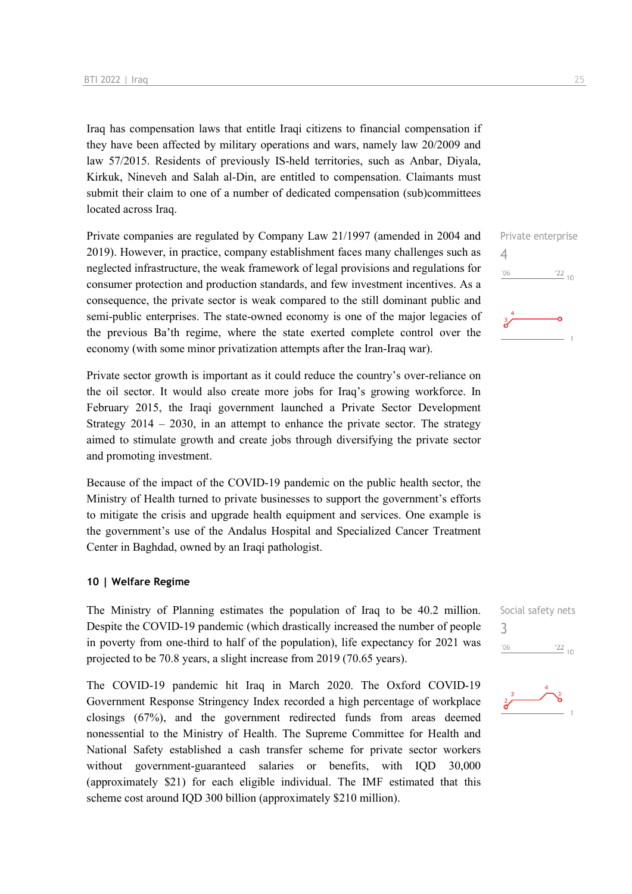Iraq has compensation laws that entitle Iraqi citizens to financial compensation if they have been affected by military operations and wars, namely law 20/2009 and law 57/2015. Residents of previously IS-held territories, such as Anbar, Diyala, Kirkuk, Nineveh and Salah al-Din, are entitled to compensation. Claimants must submit their claim to one of a number of dedicated compensation (sub)committees located across Iraq.

Private companies are regulated by Company Law 21/1997 (amended in 2004 and 2019). However, in practice, company establishment faces many challenges such as neglected infrastructure, the weak framework of legal provisions and regulations for consumer protection and production standards, and few investment incentives. As a consequence, the private sector is weak compared to the still dominant public and semi-public enterprises. The state-owned economy is one of the major legacies of the previous Ba'th regime, where the state exerted complete control over the economy (with some minor privatization attempts after the Iran-Iraq war).

Private sector growth is important as it could reduce the country's over-reliance on the oil sector. It would also create more jobs for Iraq's growing workforce. In February 2015, the Iraqi government launched a Private Sector Development Strategy 2014 – 2030, in an attempt to enhance the private sector. The strategy aimed to stimulate growth and create jobs through diversifying the private sector and promoting investment.

Because of the impact of the COVID-19 pandemic on the public health sector, the Ministry of Health turned to private businesses to support the government's efforts to mitigate the crisis and upgrade health equipment and services. One example is the government's use of the Andalus Hospital and Specialized Cancer Treatment Center in Baghdad, owned by an Iraqi pathologist.

#### **10 | Welfare Regime**

The Ministry of Planning estimates the population of Iraq to be 40.2 million. Despite the COVID-19 pandemic (which drastically increased the number of people in poverty from one-third to half of the population), life expectancy for 2021 was projected to be 70.8 years, a slight increase from 2019 (70.65 years).

The COVID-19 pandemic hit Iraq in March 2020. The Oxford COVID-19 Government Response Stringency Index recorded a high percentage of workplace closings (67%), and the government redirected funds from areas deemed nonessential to the Ministry of Health. The Supreme Committee for Health and National Safety established a cash transfer scheme for private sector workers without government-guaranteed salaries or benefits, with IQD 30,000 (approximately \$21) for each eligible individual. The IMF estimated that this scheme cost around IQD 300 billion (approximately \$210 million).





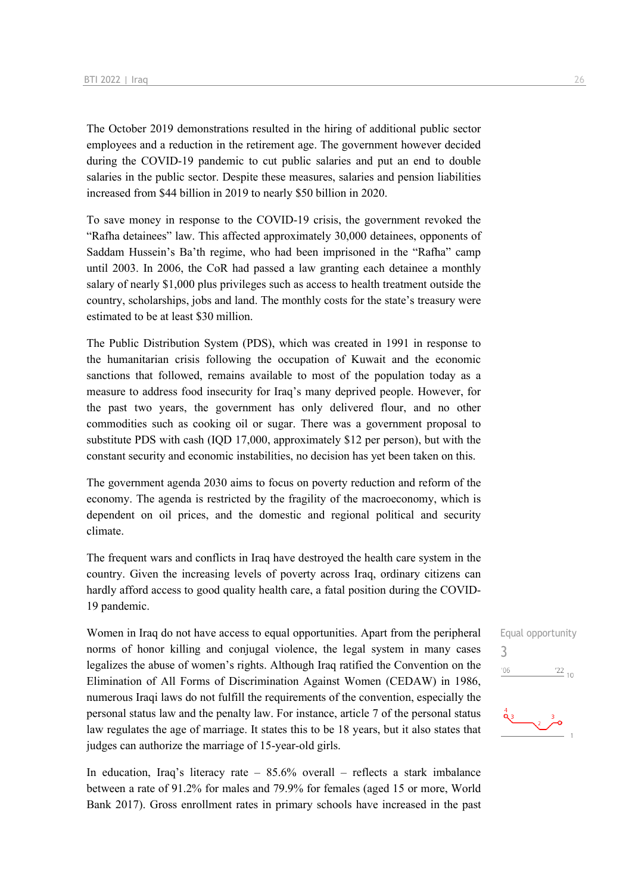The October 2019 demonstrations resulted in the hiring of additional public sector employees and a reduction in the retirement age. The government however decided during the COVID-19 pandemic to cut public salaries and put an end to double salaries in the public sector. Despite these measures, salaries and pension liabilities increased from \$44 billion in 2019 to nearly \$50 billion in 2020.

To save money in response to the COVID-19 crisis, the government revoked the "Rafha detainees" law. This affected approximately 30,000 detainees, opponents of Saddam Hussein's Ba'th regime, who had been imprisoned in the "Rafha" camp until 2003. In 2006, the CoR had passed a law granting each detainee a monthly salary of nearly \$1,000 plus privileges such as access to health treatment outside the country, scholarships, jobs and land. The monthly costs for the state's treasury were estimated to be at least \$30 million.

The Public Distribution System (PDS), which was created in 1991 in response to the humanitarian crisis following the occupation of Kuwait and the economic sanctions that followed, remains available to most of the population today as a measure to address food insecurity for Iraq's many deprived people. However, for the past two years, the government has only delivered flour, and no other commodities such as cooking oil or sugar. There was a government proposal to substitute PDS with cash (IQD 17,000, approximately \$12 per person), but with the constant security and economic instabilities, no decision has yet been taken on this.

The government agenda 2030 aims to focus on poverty reduction and reform of the economy. The agenda is restricted by the fragility of the macroeconomy, which is dependent on oil prices, and the domestic and regional political and security climate.

The frequent wars and conflicts in Iraq have destroyed the health care system in the country. Given the increasing levels of poverty across Iraq, ordinary citizens can hardly afford access to good quality health care, a fatal position during the COVID-19 pandemic.

Women in Iraq do not have access to equal opportunities. Apart from the peripheral norms of honor killing and conjugal violence, the legal system in many cases legalizes the abuse of women's rights. Although Iraq ratified the Convention on the Elimination of All Forms of Discrimination Against Women (CEDAW) in 1986, numerous Iraqi laws do not fulfill the requirements of the convention, especially the personal status law and the penalty law. For instance, article 7 of the personal status law regulates the age of marriage. It states this to be 18 years, but it also states that judges can authorize the marriage of 15-year-old girls.

In education, Iraq's literacy rate –  $85.6\%$  overall – reflects a stark imbalance between a rate of 91.2% for males and 79.9% for females (aged 15 or more, World Bank 2017). Gross enrollment rates in primary schools have increased in the past

## Equal opportunity 3 $^{\prime}06$  $\frac{22}{10}$  $\begin{picture}(180,10) \put(0,0){\line(1,0){10}} \put(10,0){\line(1,0){10}} \put(10,0){\line(1,0){10}} \put(10,0){\line(1,0){10}} \put(10,0){\line(1,0){10}} \put(10,0){\line(1,0){10}} \put(10,0){\line(1,0){10}} \put(10,0){\line(1,0){10}} \put(10,0){\line(1,0){10}} \put(10,0){\line(1,0){10}} \put(10,0){\line(1,0){10}} \put(10,0){\line($

ے۔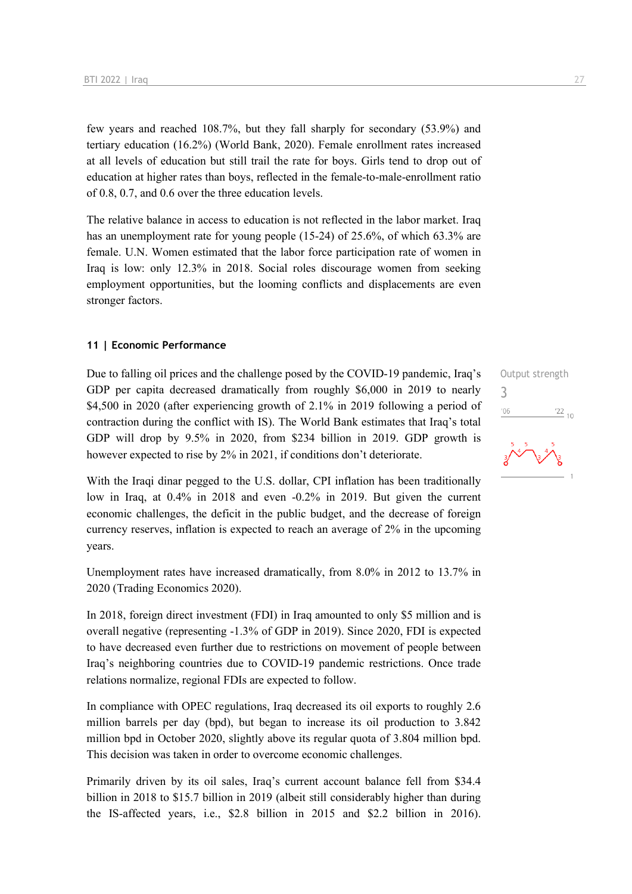few years and reached 108.7%, but they fall sharply for secondary (53.9%) and tertiary education (16.2%) (World Bank, 2020). Female enrollment rates increased at all levels of education but still trail the rate for boys. Girls tend to drop out of education at higher rates than boys, reflected in the female-to-male-enrollment ratio of 0.8, 0.7, and 0.6 over the three education levels.

The relative balance in access to education is not reflected in the labor market. Iraq has an unemployment rate for young people (15-24) of 25.6%, of which 63.3% are female. U.N. Women estimated that the labor force participation rate of women in Iraq is low: only 12.3% in 2018. Social roles discourage women from seeking employment opportunities, but the looming conflicts and displacements are even stronger factors.

#### **11 | Economic Performance**

Due to falling oil prices and the challenge posed by the COVID-19 pandemic, Iraq's GDP per capita decreased dramatically from roughly \$6,000 in 2019 to nearly \$4,500 in 2020 (after experiencing growth of 2.1% in 2019 following a period of contraction during the conflict with IS). The World Bank estimates that Iraq's total GDP will drop by 9.5% in 2020, from \$234 billion in 2019. GDP growth is however expected to rise by 2% in 2021, if conditions don't deteriorate.

With the Iraqi dinar pegged to the U.S. dollar, CPI inflation has been traditionally low in Iraq, at 0.4% in 2018 and even -0.2% in 2019. But given the current economic challenges, the deficit in the public budget, and the decrease of foreign currency reserves, inflation is expected to reach an average of 2% in the upcoming years.

Unemployment rates have increased dramatically, from 8.0% in 2012 to 13.7% in 2020 (Trading Economics 2020).

In 2018, foreign direct investment (FDI) in Iraq amounted to only \$5 million and is overall negative (representing -1.3% of GDP in 2019). Since 2020, FDI is expected to have decreased even further due to restrictions on movement of people between Iraq's neighboring countries due to COVID-19 pandemic restrictions. Once trade relations normalize, regional FDIs are expected to follow.

In compliance with OPEC regulations, Iraq decreased its oil exports to roughly 2.6 million barrels per day (bpd), but began to increase its oil production to 3.842 million bpd in October 2020, slightly above its regular quota of 3.804 million bpd. This decision was taken in order to overcome economic challenges.

Primarily driven by its oil sales, Iraq's current account balance fell from \$34.4 billion in 2018 to \$15.7 billion in 2019 (albeit still considerably higher than during the IS-affected years, i.e., \$2.8 billion in 2015 and \$2.2 billion in 2016).

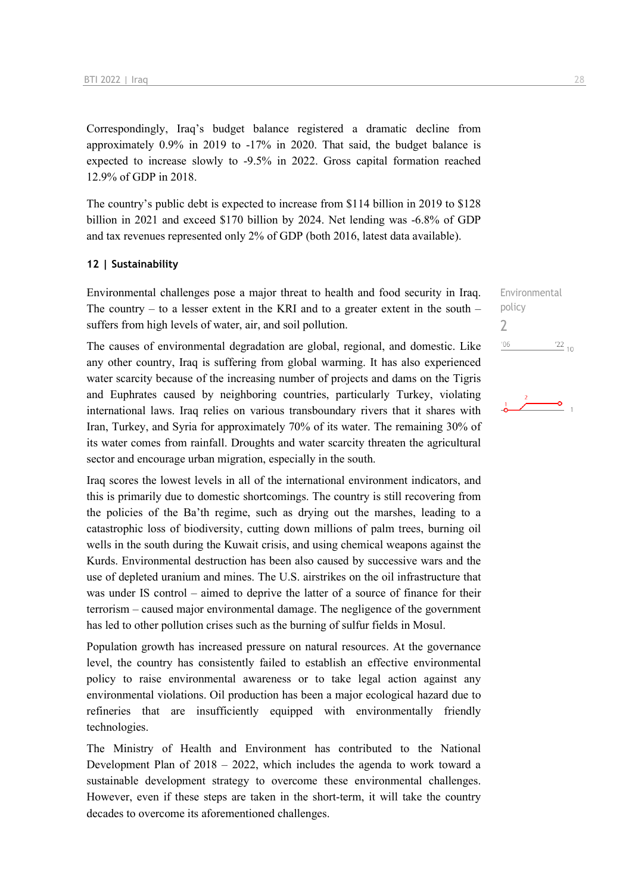Correspondingly, Iraq's budget balance registered a dramatic decline from approximately 0.9% in 2019 to -17% in 2020. That said, the budget balance is expected to increase slowly to -9.5% in 2022. Gross capital formation reached 12.9% of GDP in 2018.

The country's public debt is expected to increase from \$114 billion in 2019 to \$128 billion in 2021 and exceed \$170 billion by 2024. Net lending was -6.8% of GDP and tax revenues represented only 2% of GDP (both 2016, latest data available).

#### **12 | Sustainability**

Environmental challenges pose a major threat to health and food security in Iraq. The country – to a lesser extent in the KRI and to a greater extent in the south – suffers from high levels of water, air, and soil pollution.

The causes of environmental degradation are global, regional, and domestic. Like any other country, Iraq is suffering from global warming. It has also experienced water scarcity because of the increasing number of projects and dams on the Tigris and Euphrates caused by neighboring countries, particularly Turkey, violating international laws. Iraq relies on various transboundary rivers that it shares with Iran, Turkey, and Syria for approximately 70% of its water. The remaining 30% of its water comes from rainfall. Droughts and water scarcity threaten the agricultural sector and encourage urban migration, especially in the south.

Iraq scores the lowest levels in all of the international environment indicators, and this is primarily due to domestic shortcomings. The country is still recovering from the policies of the Ba'th regime, such as drying out the marshes, leading to a catastrophic loss of biodiversity, cutting down millions of palm trees, burning oil wells in the south during the Kuwait crisis, and using chemical weapons against the Kurds. Environmental destruction has been also caused by successive wars and the use of depleted uranium and mines. The U.S. airstrikes on the oil infrastructure that was under IS control – aimed to deprive the latter of a source of finance for their terrorism – caused major environmental damage. The negligence of the government has led to other pollution crises such as the burning of sulfur fields in Mosul.

Population growth has increased pressure on natural resources. At the governance level, the country has consistently failed to establish an effective environmental policy to raise environmental awareness or to take legal action against any environmental violations. Oil production has been a major ecological hazard due to refineries that are insufficiently equipped with environmentally friendly technologies.

The Ministry of Health and Environment has contributed to the National Development Plan of  $2018 - 2022$ , which includes the agenda to work toward a sustainable development strategy to overcome these environmental challenges. However, even if these steps are taken in the short-term, it will take the country decades to overcome its aforementioned challenges.

Environmental policy 2 $'06$  $122_{10}$ 

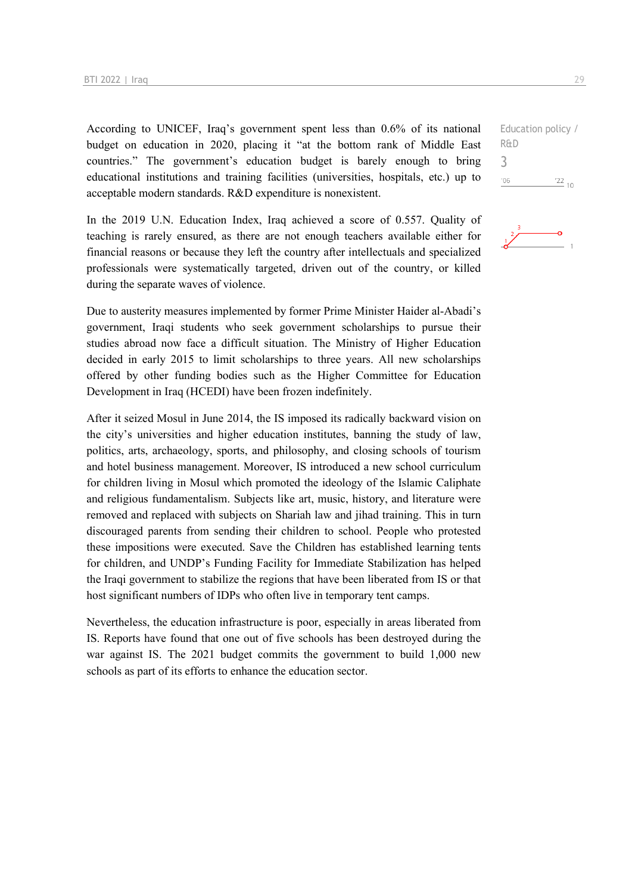According to UNICEF, Iraq's government spent less than 0.6% of its national budget on education in 2020, placing it "at the bottom rank of Middle East countries." The government's education budget is barely enough to bring educational institutions and training facilities (universities, hospitals, etc.) up to acceptable modern standards. R&D expenditure is nonexistent.

In the 2019 U.N. Education Index, Iraq achieved a score of 0.557. Quality of teaching is rarely ensured, as there are not enough teachers available either for financial reasons or because they left the country after intellectuals and specialized professionals were systematically targeted, driven out of the country, or killed during the separate waves of violence.

Due to austerity measures implemented by former Prime Minister Haider al-Abadi's government, Iraqi students who seek government scholarships to pursue their studies abroad now face a difficult situation. The Ministry of Higher Education decided in early 2015 to limit scholarships to three years. All new scholarships offered by other funding bodies such as the Higher Committee for Education Development in Iraq (HCEDI) have been frozen indefinitely.

After it seized Mosul in June 2014, the IS imposed its radically backward vision on the city's universities and higher education institutes, banning the study of law, politics, arts, archaeology, sports, and philosophy, and closing schools of tourism and hotel business management. Moreover, IS introduced a new school curriculum for children living in Mosul which promoted the ideology of the Islamic Caliphate and religious fundamentalism. Subjects like art, music, history, and literature were removed and replaced with subjects on Shariah law and jihad training. This in turn discouraged parents from sending their children to school. People who protested these impositions were executed. Save the Children has established learning tents for children, and UNDP's Funding Facility for Immediate Stabilization has helped the Iraqi government to stabilize the regions that have been liberated from IS or that host significant numbers of IDPs who often live in temporary tent camps.

Nevertheless, the education infrastructure is poor, especially in areas liberated from IS. Reports have found that one out of five schools has been destroyed during the war against IS. The 2021 budget commits the government to build 1,000 new schools as part of its efforts to enhance the education sector.

Education policy / R&D 3 $^{\prime}06$  $122_{10}$ 

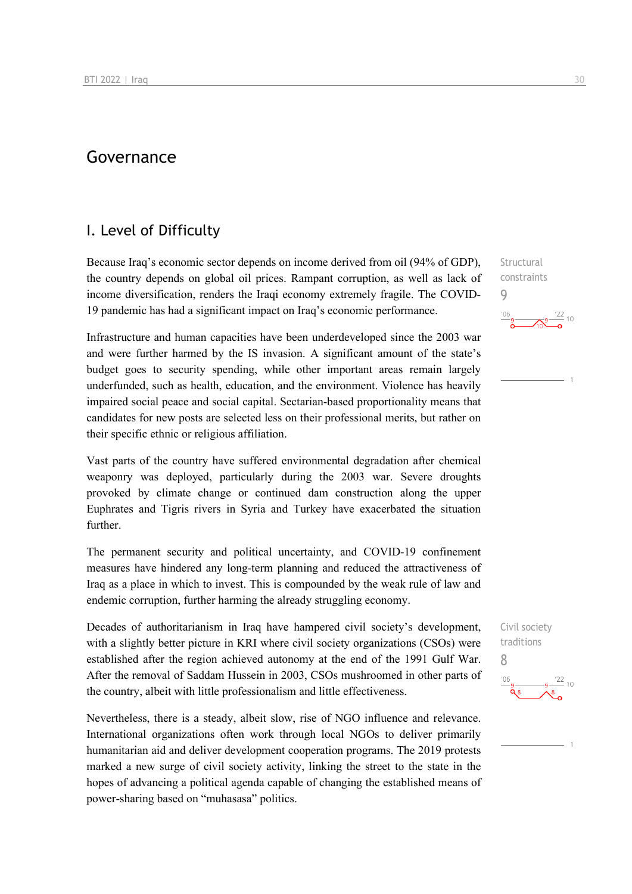## Governance

### I. Level of Difficulty

Because Iraq's economic sector depends on income derived from oil (94% of GDP), the country depends on global oil prices. Rampant corruption, as well as lack of income diversification, renders the Iraqi economy extremely fragile. The COVID-19 pandemic has had a significant impact on Iraq's economic performance.

Infrastructure and human capacities have been underdeveloped since the 2003 war and were further harmed by the IS invasion. A significant amount of the state's budget goes to security spending, while other important areas remain largely underfunded, such as health, education, and the environment. Violence has heavily impaired social peace and social capital. Sectarian-based proportionality means that candidates for new posts are selected less on their professional merits, but rather on their specific ethnic or religious affiliation.

Vast parts of the country have suffered environmental degradation after chemical weaponry was deployed, particularly during the 2003 war. Severe droughts provoked by climate change or continued dam construction along the upper Euphrates and Tigris rivers in Syria and Turkey have exacerbated the situation further.

The permanent security and political uncertainty, and COVID-19 confinement measures have hindered any long-term planning and reduced the attractiveness of Iraq as a place in which to invest. This is compounded by the weak rule of law and endemic corruption, further harming the already struggling economy.

Decades of authoritarianism in Iraq have hampered civil society's development, with a slightly better picture in KRI where civil society organizations (CSOs) were established after the region achieved autonomy at the end of the 1991 Gulf War. After the removal of Saddam Hussein in 2003, CSOs mushroomed in other parts of the country, albeit with little professionalism and little effectiveness.

Nevertheless, there is a steady, albeit slow, rise of NGO influence and relevance. International organizations often work through local NGOs to deliver primarily humanitarian aid and deliver development cooperation programs. The 2019 protests marked a new surge of civil society activity, linking the street to the state in the hopes of advancing a political agenda capable of changing the established means of power-sharing based on "muhasasa" politics.

Structural constraints 9  $\frac{122}{10}$ 

Civil society traditions 8 $\frac{22}{10}$  $106$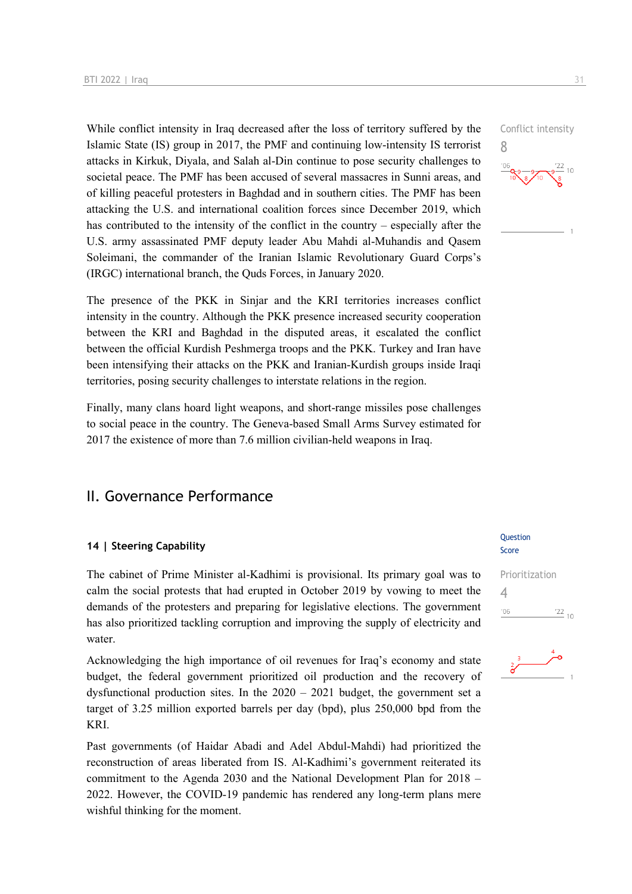While conflict intensity in Iraq decreased after the loss of territory suffered by the Islamic State (IS) group in 2017, the PMF and continuing low-intensity IS terrorist attacks in Kirkuk, Diyala, and Salah al-Din continue to pose security challenges to societal peace. The PMF has been accused of several massacres in Sunni areas, and of killing peaceful protesters in Baghdad and in southern cities. The PMF has been attacking the U.S. and international coalition forces since December 2019, which has contributed to the intensity of the conflict in the country – especially after the U.S. army assassinated PMF deputy leader Abu Mahdi al-Muhandis and Qasem Soleimani, the commander of the Iranian Islamic Revolutionary Guard Corps's (IRGC) international branch, the Quds Forces, in January 2020.

The presence of the PKK in Sinjar and the KRI territories increases conflict intensity in the country. Although the PKK presence increased security cooperation between the KRI and Baghdad in the disputed areas, it escalated the conflict between the official Kurdish Peshmerga troops and the PKK. Turkey and Iran have been intensifying their attacks on the PKK and Iranian-Kurdish groups inside Iraqi territories, posing security challenges to interstate relations in the region.

Finally, many clans hoard light weapons, and short-range missiles pose challenges to social peace in the country. The Geneva-based Small Arms Survey estimated for 2017 the existence of more than 7.6 million civilian-held weapons in Iraq.

## II. Governance Performance

#### **14 | Steering Capability**

The cabinet of Prime Minister al-Kadhimi is provisional. Its primary goal was to calm the social protests that had erupted in October 2019 by vowing to meet the demands of the protesters and preparing for legislative elections. The government has also prioritized tackling corruption and improving the supply of electricity and water.

Acknowledging the high importance of oil revenues for Iraq's economy and state budget, the federal government prioritized oil production and the recovery of dysfunctional production sites. In the  $2020 - 2021$  budget, the government set a target of 3.25 million exported barrels per day (bpd), plus 250,000 bpd from the KRI.

Past governments (of Haidar Abadi and Adel Abdul-Mahdi) had prioritized the reconstruction of areas liberated from IS. Al-Kadhimi's government reiterated its commitment to the Agenda 2030 and the National Development Plan for 2018 – 2022. However, the COVID-19 pandemic has rendered any long-term plans mere wishful thinking for the moment.

#### Question Score





 $\frac{22}{10}$ 

Conflict intensity

8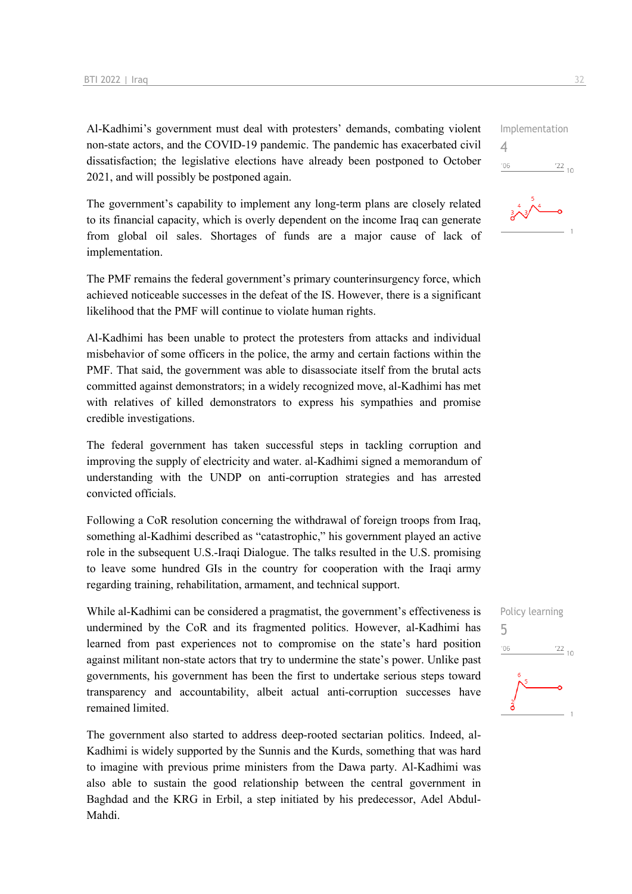Al-Kadhimi's government must deal with protesters' demands, combating violent non-state actors, and the COVID-19 pandemic. The pandemic has exacerbated civil dissatisfaction; the legislative elections have already been postponed to October 2021, and will possibly be postponed again.

The government's capability to implement any long-term plans are closely related to its financial capacity, which is overly dependent on the income Iraq can generate from global oil sales. Shortages of funds are a major cause of lack of implementation.

The PMF remains the federal government's primary counterinsurgency force, which achieved noticeable successes in the defeat of the IS. However, there is a significant likelihood that the PMF will continue to violate human rights.

Al-Kadhimi has been unable to protect the protesters from attacks and individual misbehavior of some officers in the police, the army and certain factions within the PMF. That said, the government was able to disassociate itself from the brutal acts committed against demonstrators; in a widely recognized move, al-Kadhimi has met with relatives of killed demonstrators to express his sympathies and promise credible investigations.

The federal government has taken successful steps in tackling corruption and improving the supply of electricity and water. al-Kadhimi signed a memorandum of understanding with the UNDP on anti-corruption strategies and has arrested convicted officials.

Following a CoR resolution concerning the withdrawal of foreign troops from Iraq, something al-Kadhimi described as "catastrophic," his government played an active role in the subsequent U.S.-Iraqi Dialogue. The talks resulted in the U.S. promising to leave some hundred GIs in the country for cooperation with the Iraqi army regarding training, rehabilitation, armament, and technical support.

While al-Kadhimi can be considered a pragmatist, the government's effectiveness is undermined by the CoR and its fragmented politics. However, al-Kadhimi has learned from past experiences not to compromise on the state's hard position against militant non-state actors that try to undermine the state's power. Unlike past governments, his government has been the first to undertake serious steps toward transparency and accountability, albeit actual anti-corruption successes have remained limited.

The government also started to address deep-rooted sectarian politics. Indeed, al-Kadhimi is widely supported by the Sunnis and the Kurds, something that was hard to imagine with previous prime ministers from the Dawa party. Al-Kadhimi was also able to sustain the good relationship between the central government in Baghdad and the KRG in Erbil, a step initiated by his predecessor, Adel Abdul-Mahdi.



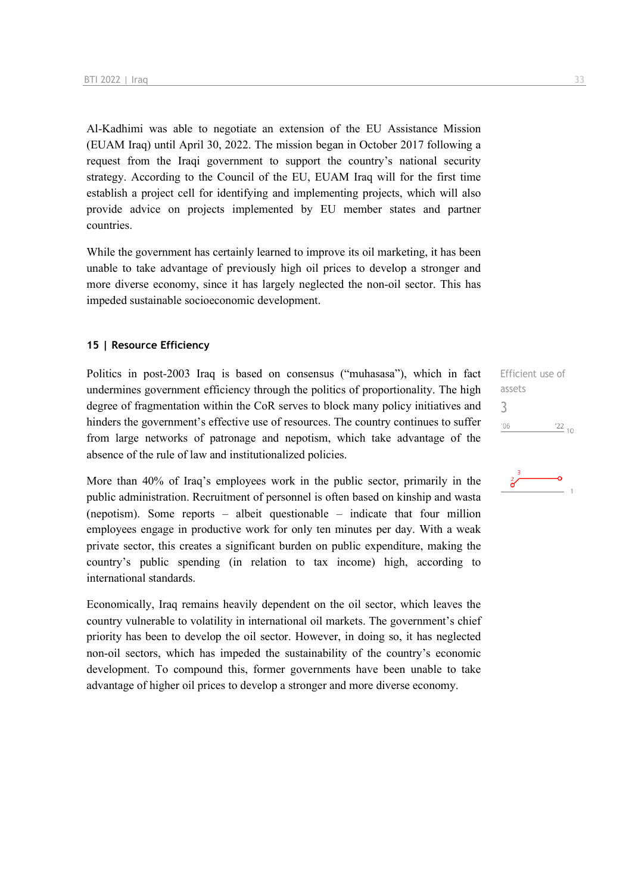Al-Kadhimi was able to negotiate an extension of the EU Assistance Mission (EUAM Iraq) until April 30, 2022. The mission began in October 2017 following a request from the Iraqi government to support the country's national security strategy. According to the Council of the EU, EUAM Iraq will for the first time establish a project cell for identifying and implementing projects, which will also provide advice on projects implemented by EU member states and partner countries.

While the government has certainly learned to improve its oil marketing, it has been unable to take advantage of previously high oil prices to develop a stronger and more diverse economy, since it has largely neglected the non-oil sector. This has impeded sustainable socioeconomic development.

#### **15 | Resource Efficiency**

Politics in post-2003 Iraq is based on consensus ("muhasasa"), which in fact undermines government efficiency through the politics of proportionality. The high degree of fragmentation within the CoR serves to block many policy initiatives and hinders the government's effective use of resources. The country continues to suffer from large networks of patronage and nepotism, which take advantage of the absence of the rule of law and institutionalized policies.

More than 40% of Iraq's employees work in the public sector, primarily in the public administration. Recruitment of personnel is often based on kinship and wasta (nepotism). Some reports – albeit questionable – indicate that four million employees engage in productive work for only ten minutes per day. With a weak private sector, this creates a significant burden on public expenditure, making the country's public spending (in relation to tax income) high, according to international standards.

Economically, Iraq remains heavily dependent on the oil sector, which leaves the country vulnerable to volatility in international oil markets. The government's chief priority has been to develop the oil sector. However, in doing so, it has neglected non-oil sectors, which has impeded the sustainability of the country's economic development. To compound this, former governments have been unable to take advantage of higher oil prices to develop a stronger and more diverse economy.

Efficient use of assets 3 $^{\prime}06$  $\frac{22}{10}$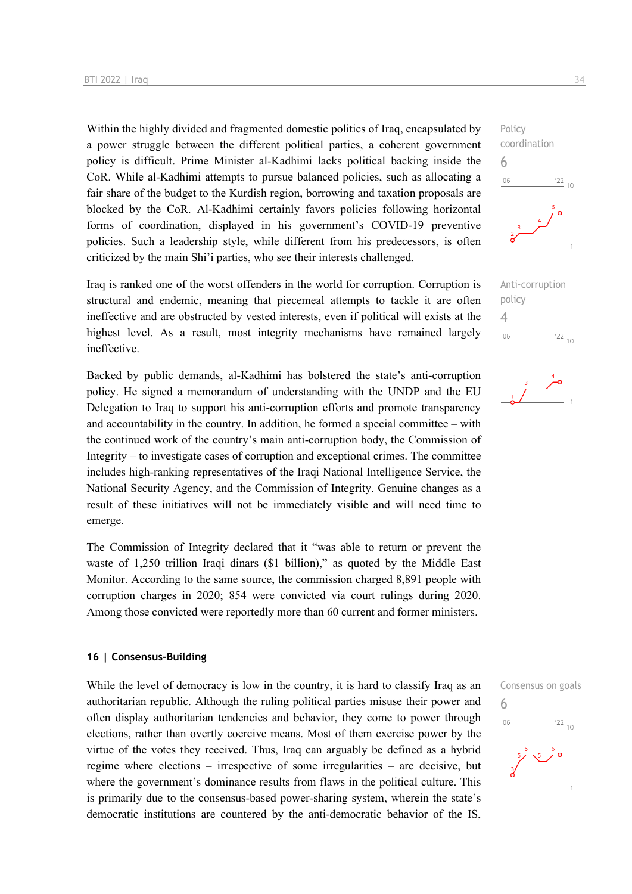Within the highly divided and fragmented domestic politics of Iraq, encapsulated by a power struggle between the different political parties, a coherent government policy is difficult. Prime Minister al-Kadhimi lacks political backing inside the CoR. While al-Kadhimi attempts to pursue balanced policies, such as allocating a fair share of the budget to the Kurdish region, borrowing and taxation proposals are blocked by the CoR. Al-Kadhimi certainly favors policies following horizontal forms of coordination, displayed in his government's COVID-19 preventive policies. Such a leadership style, while different from his predecessors, is often criticized by the main Shi'i parties, who see their interests challenged.

Iraq is ranked one of the worst offenders in the world for corruption. Corruption is structural and endemic, meaning that piecemeal attempts to tackle it are often ineffective and are obstructed by vested interests, even if political will exists at the highest level. As a result, most integrity mechanisms have remained largely ineffective.

Backed by public demands, al-Kadhimi has bolstered the state's anti-corruption policy. He signed a memorandum of understanding with the UNDP and the EU Delegation to Iraq to support his anti-corruption efforts and promote transparency and accountability in the country. In addition, he formed a special committee – with the continued work of the country's main anti-corruption body, the Commission of Integrity – to investigate cases of corruption and exceptional crimes. The committee includes high-ranking representatives of the Iraqi National Intelligence Service, the National Security Agency, and the Commission of Integrity. Genuine changes as a result of these initiatives will not be immediately visible and will need time to emerge.

The Commission of Integrity declared that it "was able to return or prevent the waste of 1,250 trillion Iraqi dinars (\$1 billion)," as quoted by the Middle East Monitor. According to the same source, the commission charged 8,891 people with corruption charges in 2020; 854 were convicted via court rulings during 2020. Among those convicted were reportedly more than 60 current and former ministers.

#### **16 | Consensus-Building**

While the level of democracy is low in the country, it is hard to classify Iraq as an authoritarian republic. Although the ruling political parties misuse their power and often display authoritarian tendencies and behavior, they come to power through elections, rather than overtly coercive means. Most of them exercise power by the virtue of the votes they received. Thus, Iraq can arguably be defined as a hybrid regime where elections – irrespective of some irregularities – are decisive, but where the government's dominance results from flaws in the political culture. This is primarily due to the consensus-based power-sharing system, wherein the state's democratic institutions are countered by the anti-democratic behavior of the IS,



Anti-corruption policy 4  $\frac{22}{10}$  $'06$ 



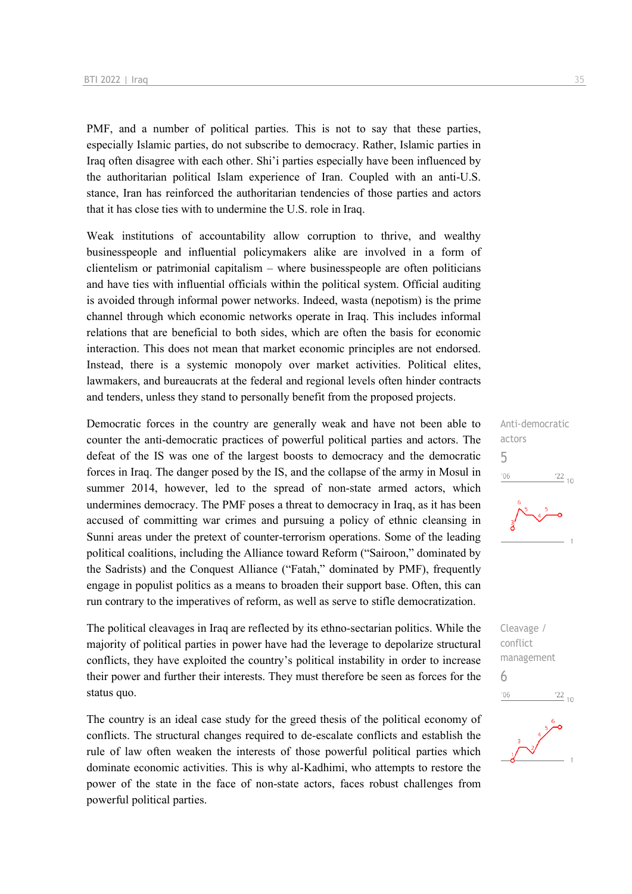PMF, and a number of political parties. This is not to say that these parties, especially Islamic parties, do not subscribe to democracy. Rather, Islamic parties in Iraq often disagree with each other. Shi'i parties especially have been influenced by the authoritarian political Islam experience of Iran. Coupled with an anti-U.S. stance, Iran has reinforced the authoritarian tendencies of those parties and actors that it has close ties with to undermine the U.S. role in Iraq.

Weak institutions of accountability allow corruption to thrive, and wealthy businesspeople and influential policymakers alike are involved in a form of clientelism or patrimonial capitalism – where businesspeople are often politicians and have ties with influential officials within the political system. Official auditing is avoided through informal power networks. Indeed, wasta (nepotism) is the prime channel through which economic networks operate in Iraq. This includes informal relations that are beneficial to both sides, which are often the basis for economic interaction. This does not mean that market economic principles are not endorsed. Instead, there is a systemic monopoly over market activities. Political elites, lawmakers, and bureaucrats at the federal and regional levels often hinder contracts and tenders, unless they stand to personally benefit from the proposed projects.

Democratic forces in the country are generally weak and have not been able to counter the anti-democratic practices of powerful political parties and actors. The defeat of the IS was one of the largest boosts to democracy and the democratic forces in Iraq. The danger posed by the IS, and the collapse of the army in Mosul in summer 2014, however, led to the spread of non-state armed actors, which undermines democracy. The PMF poses a threat to democracy in Iraq, as it has been accused of committing war crimes and pursuing a policy of ethnic cleansing in Sunni areas under the pretext of counter-terrorism operations. Some of the leading political coalitions, including the Alliance toward Reform ("Sairoon," dominated by the Sadrists) and the Conquest Alliance ("Fatah," dominated by PMF), frequently engage in populist politics as a means to broaden their support base. Often, this can run contrary to the imperatives of reform, as well as serve to stifle democratization.

The political cleavages in Iraq are reflected by its ethno-sectarian politics. While the majority of political parties in power have had the leverage to depolarize structural conflicts, they have exploited the country's political instability in order to increase their power and further their interests. They must therefore be seen as forces for the status quo.

The country is an ideal case study for the greed thesis of the political economy of conflicts. The structural changes required to de-escalate conflicts and establish the rule of law often weaken the interests of those powerful political parties which dominate economic activities. This is why al-Kadhimi, who attempts to restore the power of the state in the face of non-state actors, faces robust challenges from powerful political parties.



Cleavage / conflict management 6 $\frac{22}{10}$  $^{\prime}06$ 

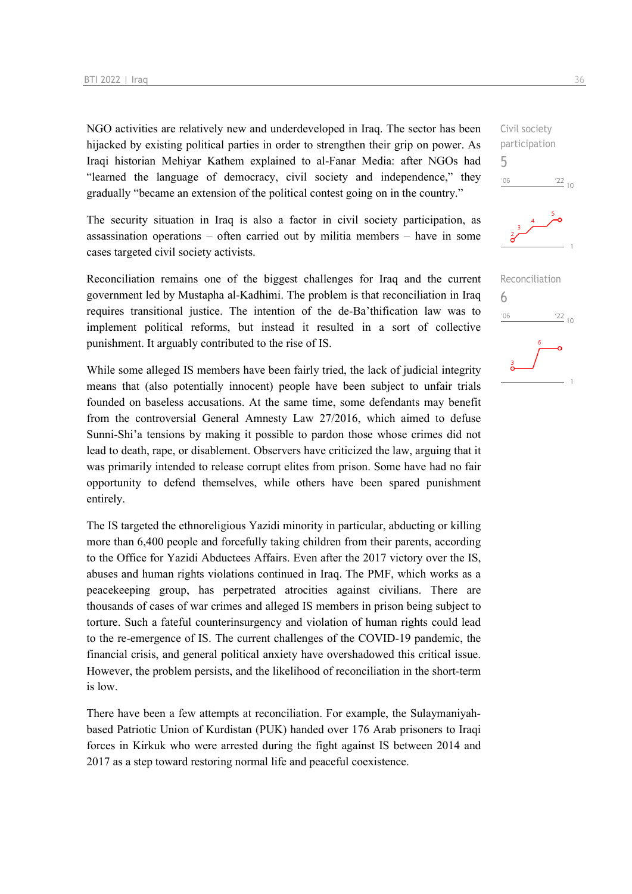NGO activities are relatively new and underdeveloped in Iraq. The sector has been hijacked by existing political parties in order to strengthen their grip on power. As Iraqi historian Mehiyar Kathem explained to al-Fanar Media: after NGOs had "learned the language of democracy, civil society and independence," they gradually "became an extension of the political contest going on in the country."

The security situation in Iraq is also a factor in civil society participation, as assassination operations – often carried out by militia members – have in some cases targeted civil society activists.

Reconciliation remains one of the biggest challenges for Iraq and the current government led by Mustapha al-Kadhimi. The problem is that reconciliation in Iraq requires transitional justice. The intention of the de-Ba'thification law was to implement political reforms, but instead it resulted in a sort of collective punishment. It arguably contributed to the rise of IS.

While some alleged IS members have been fairly tried, the lack of judicial integrity means that (also potentially innocent) people have been subject to unfair trials founded on baseless accusations. At the same time, some defendants may benefit from the controversial General Amnesty Law 27/2016, which aimed to defuse Sunni-Shi'a tensions by making it possible to pardon those whose crimes did not lead to death, rape, or disablement. Observers have criticized the law, arguing that it was primarily intended to release corrupt elites from prison. Some have had no fair opportunity to defend themselves, while others have been spared punishment entirely.

The IS targeted the ethnoreligious Yazidi minority in particular, abducting or killing more than 6,400 people and forcefully taking children from their parents, according to the Office for Yazidi Abductees Affairs. Even after the 2017 victory over the IS, abuses and human rights violations continued in Iraq. The PMF, which works as a peacekeeping group, has perpetrated atrocities against civilians. There are thousands of cases of war crimes and alleged IS members in prison being subject to torture. Such a fateful counterinsurgency and violation of human rights could lead to the re-emergence of IS. The current challenges of the COVID-19 pandemic, the financial crisis, and general political anxiety have overshadowed this critical issue. However, the problem persists, and the likelihood of reconciliation in the short-term is low.

There have been a few attempts at reconciliation. For example, the Sulaymaniyahbased Patriotic Union of Kurdistan (PUK) handed over 176 Arab prisoners to Iraqi forces in Kirkuk who were arrested during the fight against IS between 2014 and 2017 as a step toward restoring normal life and peaceful coexistence.

Civil society participation 5  $^{\prime}06$  $\frac{22}{10}$ 



| Reconciliation |                 |
|----------------|-----------------|
|                |                 |
| '06            | $\frac{22}{10}$ |
| 6              |                 |
|                |                 |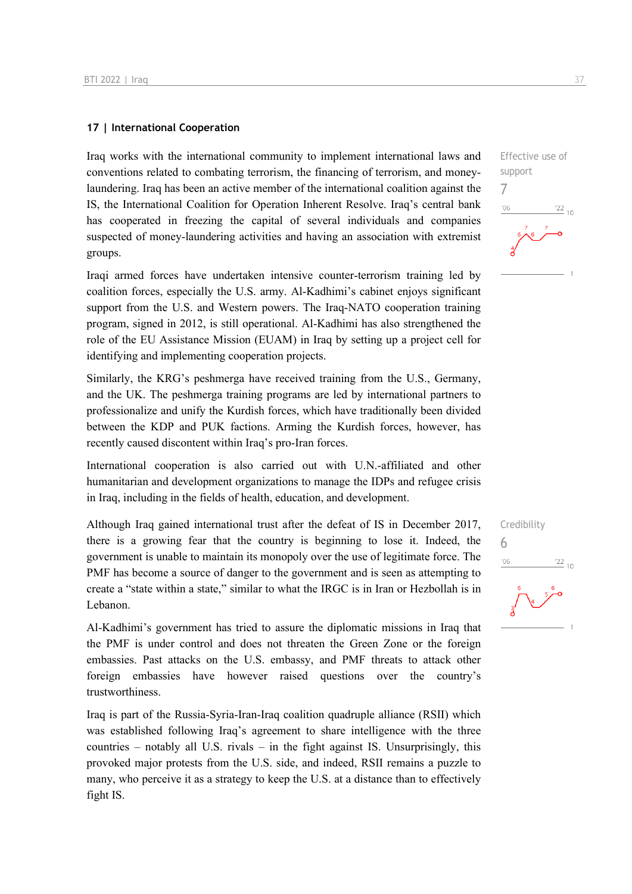#### **17 | International Cooperation**

Iraq works with the international community to implement international laws and conventions related to combating terrorism, the financing of terrorism, and moneylaundering. Iraq has been an active member of the international coalition against the IS, the International Coalition for Operation Inherent Resolve. Iraq's central bank has cooperated in freezing the capital of several individuals and companies suspected of money-laundering activities and having an association with extremist groups.

Iraqi armed forces have undertaken intensive counter-terrorism training led by coalition forces, especially the U.S. army. Al-Kadhimi's cabinet enjoys significant support from the U.S. and Western powers. The Iraq-NATO cooperation training program, signed in 2012, is still operational. Al-Kadhimi has also strengthened the role of the EU Assistance Mission (EUAM) in Iraq by setting up a project cell for identifying and implementing cooperation projects.

Similarly, the KRG's peshmerga have received training from the U.S., Germany, and the UK. The peshmerga training programs are led by international partners to professionalize and unify the Kurdish forces, which have traditionally been divided between the KDP and PUK factions. Arming the Kurdish forces, however, has recently caused discontent within Iraq's pro-Iran forces.

International cooperation is also carried out with U.N.-affiliated and other humanitarian and development organizations to manage the IDPs and refugee crisis in Iraq, including in the fields of health, education, and development.

Although Iraq gained international trust after the defeat of IS in December 2017, there is a growing fear that the country is beginning to lose it. Indeed, the government is unable to maintain its monopoly over the use of legitimate force. The PMF has become a source of danger to the government and is seen as attempting to create a "state within a state," similar to what the IRGC is in Iran or Hezbollah is in Lebanon.

Al-Kadhimi's government has tried to assure the diplomatic missions in Iraq that the PMF is under control and does not threaten the Green Zone or the foreign embassies. Past attacks on the U.S. embassy, and PMF threats to attack other foreign embassies have however raised questions over the country's trustworthiness.

Iraq is part of the Russia-Syria-Iran-Iraq coalition quadruple alliance (RSII) which was established following Iraq's agreement to share intelligence with the three countries – notably all U.S. rivals – in the fight against IS. Unsurprisingly, this provoked major protests from the U.S. side, and indeed, RSII remains a puzzle to many, who perceive it as a strategy to keep the U.S. at a distance than to effectively fight IS.

Effective use of

 $\frac{22}{10}$ 

support 7

 $n<sub>6</sub>$ 

Credibility

6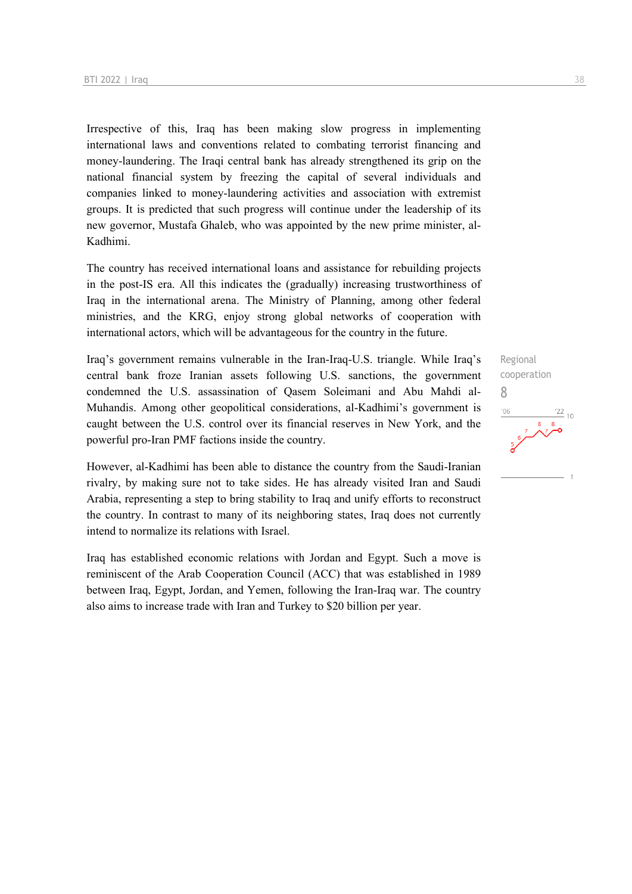Irrespective of this, Iraq has been making slow progress in implementing international laws and conventions related to combating terrorist financing and money-laundering. The Iraqi central bank has already strengthened its grip on the national financial system by freezing the capital of several individuals and companies linked to money-laundering activities and association with extremist groups. It is predicted that such progress will continue under the leadership of its new governor, Mustafa Ghaleb, who was appointed by the new prime minister, al-Kadhimi.

The country has received international loans and assistance for rebuilding projects in the post-IS era. All this indicates the (gradually) increasing trustworthiness of Iraq in the international arena. The Ministry of Planning, among other federal ministries, and the KRG, enjoy strong global networks of cooperation with international actors, which will be advantageous for the country in the future.

Iraq's government remains vulnerable in the Iran-Iraq-U.S. triangle. While Iraq's central bank froze Iranian assets following U.S. sanctions, the government condemned the U.S. assassination of Qasem Soleimani and Abu Mahdi al-Muhandis. Among other geopolitical considerations, al-Kadhimi's government is caught between the U.S. control over its financial reserves in New York, and the powerful pro-Iran PMF factions inside the country.

However, al-Kadhimi has been able to distance the country from the Saudi-Iranian rivalry, by making sure not to take sides. He has already visited Iran and Saudi Arabia, representing a step to bring stability to Iraq and unify efforts to reconstruct the country. In contrast to many of its neighboring states, Iraq does not currently intend to normalize its relations with Israel.

Iraq has established economic relations with Jordan and Egypt. Such a move is reminiscent of the Arab Cooperation Council (ACC) that was established in 1989 between Iraq, Egypt, Jordan, and Yemen, following the Iran-Iraq war. The country also aims to increase trade with Iran and Turkey to \$20 billion per year.